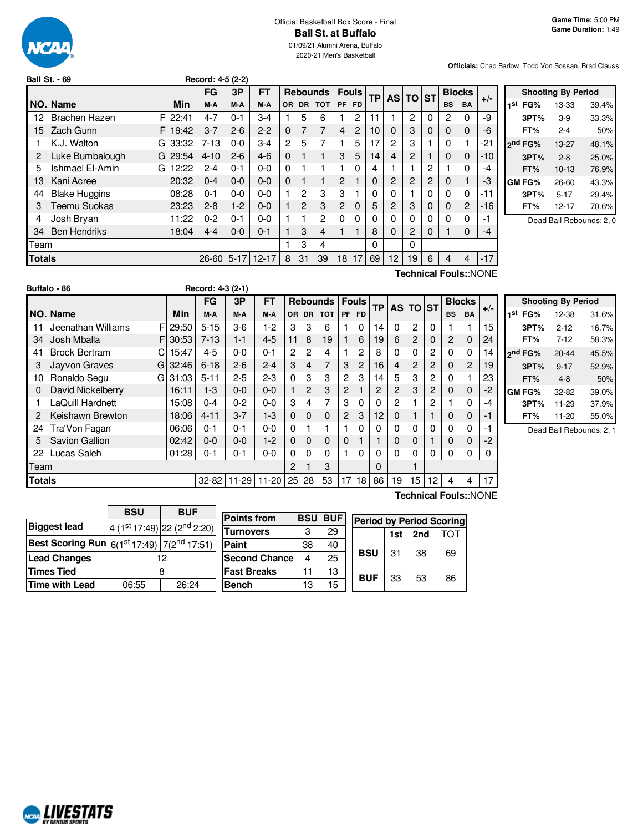

# Official Basketball Box Score - Final **Ball St. at Buffalo**

01/09/21 Alumni Arena, Buffalo 2020-21 Men's Basketball

**Officials:** Chad Barlow, Todd Von Sossan, Brad Clauss

|        | Ball St. - 69         |       | Record: 4-5 (2-2) |          |           |              |              |                 |                |                           |    |    |                |          |              |               |       |                         |
|--------|-----------------------|-------|-------------------|----------|-----------|--------------|--------------|-----------------|----------------|---------------------------|----|----|----------------|----------|--------------|---------------|-------|-------------------------|
|        |                       |       | <b>FG</b>         | 3P       | <b>FT</b> |              |              | <b>Rebounds</b> |                | <b>Fouls</b><br><b>TP</b> |    |    |                | AS TO ST |              | <b>Blocks</b> |       |                         |
|        | NO. Name              | Min   | M-A               | M-A      | M-A       | OR.          | <b>DR</b>    | <b>TOT</b>      | <b>PF</b>      | <b>FD</b>                 |    |    |                |          | <b>BS</b>    | <b>BA</b>     |       | $+/-$<br>1 <sup>s</sup> |
| 12     | F<br>Brachen Hazen    | 22:41 | $4 - 7$           | $0 - 1$  | $3-4$     |              | 5            | 6               |                | 2                         |    |    | 2              | 0        | 2            | 0             | -9    |                         |
| 15     | F.<br>Zach Gunn       | 19:42 | $3 - 7$           | $2 - 6$  | $2 - 2$   | $\Omega$     | 7            | 7               | 4              | 2                         | 10 | 0  | 3              | 0        | $\mathbf 0$  | $\Omega$      | -6    |                         |
|        | K.J. Walton<br>G      | 33:32 | $7 - 13$          | $0 - 0$  | $3 - 4$   | $\mathbf{2}$ | 5            | 7               | 1              | 5                         | 17 | 2  | 3              |          | 0            |               | -21   | 2 <sup>n</sup>          |
| 2      | Luke Bumbalough<br>G  | 29:54 | $4 - 10$          | $2 - 6$  | $4 - 6$   | $\Omega$     |              |                 | 3              | 5                         | 14 | 4  | $\overline{2}$ |          | $\mathbf{0}$ | 0             | -10   |                         |
| 5      | Ishmael El-Amin<br>G  | 12:22 | $2 - 4$           | $0 - 1$  | $0-0$     | $\Omega$     |              |                 | 1              | 0                         | 4  |    |                | 2        |              | 0             | $-4$  |                         |
| 13     | Kani Acree            | 20:32 | $0 - 4$           | $0 - 0$  | $0 - 0$   | $\Omega$     |              |                 | 2              |                           | 0  | 2  | 2              | 2        | $\mathbf{0}$ |               | -3    | GI                      |
| 44     | <b>Blake Huggins</b>  | 08:28 | $0 - 1$           | $0 - 0$  | $0-0$     |              | 2            | 3               | 3              |                           | 0  | 0  |                | 0        | $\Omega$     | 0             | -11   |                         |
| 3      | Teemu Suokas          | 23:23 | $2 - 8$           | $1-2$    | $0 - 0$   |              | $\mathbf{2}$ | 3               | $\overline{2}$ | 0                         | 5  | 2  | 3              | 0        | $\mathbf{0}$ | 2             | $-16$ |                         |
| 4      | Josh Bryan            | 11:22 | $0 - 2$           | $0 - 1$  | $0-0$     |              |              | 2               | $\Omega$       | 0                         | 0  | 0  | 0              | 0        | 0            | 0             | -1    |                         |
| 34     | <b>Ben Hendriks</b>   | 18:04 | $4 - 4$           | $0 - 0$  | $0 - 1$   |              | 3            | 4               | 1.             |                           | 8  | 0  | 2              | $\Omega$ |              | 0             | -4    |                         |
| Team   |                       |       |                   |          |           |              | 3            | 4               |                |                           | 0  |    | $\Omega$       |          |              |               |       |                         |
| Totals |                       |       | $26 - 60$         | $5 - 17$ | $12 - 17$ | 8            | 31           | 39              | 18             | 17                        | 69 | 12 | 19             | 6        | 4            | 4             | $-17$ |                         |
|        | Technical Fouls::NONE |       |                   |          |           |              |              |                 |                |                           |    |    |                |          |              |               |       |                         |

|     | <b>Shooting By Period</b> |           |       |  |  |  |  |  |  |  |
|-----|---------------------------|-----------|-------|--|--|--|--|--|--|--|
| 1st | FG%                       | 13-33     | 39.4% |  |  |  |  |  |  |  |
|     | 3PT%                      | $3-9$     | 33.3% |  |  |  |  |  |  |  |
|     | FT%                       | 2-4       | 50%   |  |  |  |  |  |  |  |
|     | 2 <sup>nd</sup> FG%       | 13-27     | 48.1% |  |  |  |  |  |  |  |
|     | 3PT%                      | $2 - 8$   | 25.0% |  |  |  |  |  |  |  |
|     | FT%                       | $10 - 13$ | 76.9% |  |  |  |  |  |  |  |
|     | GM FG%                    | 26-60     | 43.3% |  |  |  |  |  |  |  |
|     | 3PT%                      | $5 - 17$  | 29.4% |  |  |  |  |  |  |  |
|     | FT%                       | 12-17     | 70.6% |  |  |  |  |  |  |  |
|     |                           |           |       |  |  |  |  |  |  |  |

Dead Ball Rebounds: 2, 0

|               | Buffalo - 86             |       | Record: 4-3 (2-1) |         |             |                |                |                 |                |                 |           |                |          |    |                |               |       |
|---------------|--------------------------|-------|-------------------|---------|-------------|----------------|----------------|-----------------|----------------|-----------------|-----------|----------------|----------|----|----------------|---------------|-------|
|               |                          |       | <b>FG</b>         | 3P      | <b>FT</b>   |                |                | <b>Rebounds</b> |                | <b>Fouls</b>    | <b>TP</b> |                | AS TO ST |    |                | <b>Blocks</b> | $+/-$ |
|               | NO. Name                 | Min   | M-A               | M-A     | M-A         | 0R             | <b>DR</b>      | <b>TOT</b>      |                | PF FD           |           |                |          |    | <b>BS</b>      | <b>BA</b>     |       |
| 11            | FI<br>Jeenathan Williams | 29:50 | $5 - 15$          | $3-6$   | $1-2$       | 3              | 3              | 6               |                | $\Omega$        | 14        | 0              | 2        | 0  |                |               | 15    |
| 34            | Josh Mballa<br>FI        | 30:53 | $7 - 13$          | $1 - 1$ | $4 - 5$     | 11             | 8              | 19              |                | 6               | 19        | 6              | 2        | 0  | $\overline{2}$ | $\Omega$      | 24    |
| 41            | <b>Brock Bertram</b>     | 15:47 | $4 - 5$           | $0 - 0$ | $0 - 1$     | 2              | $\mathcal{P}$  | 4               |                | 2               | 8         | $\Omega$       | 0        | 2  | $\Omega$       | 0             | 14    |
| 3             | Jayvon Graves<br>G       | 32:46 | $6 - 18$          | $2 - 6$ | $2 - 4$     | 3              | $\overline{4}$ | 7               | 3              | $\overline{2}$  | 16        | $\overline{4}$ | 2        | 2  | $\Omega$       | 2             | 19    |
| 10            | Ronaldo Segu<br>GI       | 31:03 | $5 - 11$          | $2 - 5$ | $2-3$       | $\Omega$       | 3              | 3               | 2              | 3               | 14        | 5              | 3        | 2  | $\Omega$       |               | 23    |
| 0             | David Nickelberry        | 16:11 | $1-3$             | $0 - 0$ | $0 - 0$     |                | $\mathfrak{p}$ | 3               | $\overline{2}$ |                 | 2         | $\overline{2}$ | 3        | 2  | $\Omega$       | $\Omega$      | -2    |
|               | LaQuill Hardnett         | 15:08 | $0 - 4$           | $0 - 2$ | $0 - 0$     | 3              | 4              | 7               | 3              | $\Omega$        |           | 2              |          | 2  |                | 0             | -4    |
|               | Keishawn Brewton         | 18:06 | $4 - 11$          | $3 - 7$ | $1-3$       | $\Omega$       | $\Omega$       | $\Omega$        | $\overline{2}$ | 3               | 12        | $\Omega$       |          |    | $\Omega$       | 0             | -1    |
| 24            | Tra'Von Fagan            | 06:06 | 0-1               | $0 - 1$ | $0 - 0$     | $\Omega$       |                | 1               |                | 0               | 0         | 0              | $\Omega$ | 0  | $\Omega$       | 0             | -1    |
| 5             | <b>Savion Gallion</b>    | 02:42 | $0 - 0$           | $0 - 0$ | $1-2$       | $\Omega$       | $\Omega$       | $\Omega$        | $\Omega$       |                 |           | $\Omega$       | 0        |    | $\Omega$       | $\mathbf 0$   | $-2$  |
| 22            | Lucas Saleh              | 01:28 | 0-1               | $0 - 1$ | $0 - 0$     | $\Omega$       | $\mathbf{0}$   | 0               |                | 0               | 0         | 0              | 0        | 0  | $\Omega$       | 0             | 0     |
| Геаm          |                          |       |                   |         |             | $\overline{2}$ |                | 3               |                |                 | 0         |                |          |    |                |               |       |
| <b>Totals</b> |                          |       | $32 - 82$         |         | 11-29 11-20 | 25             | 28             | 53              | 17             | 18 <sup>1</sup> | 86        | 19             | 15       | 12 | 4              | 4             | 17    |

| <b>Shooting By Period</b> |           |       |  |  |  |  |  |  |  |
|---------------------------|-----------|-------|--|--|--|--|--|--|--|
| 1st<br>FG%                | 12-38     | 31.6% |  |  |  |  |  |  |  |
| 3PT%                      | $2 - 12$  | 16.7% |  |  |  |  |  |  |  |
| FT%                       | $7 - 12$  | 58.3% |  |  |  |  |  |  |  |
| 2 <sup>nd</sup> FG%       | $20 - 44$ | 45.5% |  |  |  |  |  |  |  |
| 3PT%                      | $9 - 17$  | 52.9% |  |  |  |  |  |  |  |
| FT%                       | $4 - 8$   | 50%   |  |  |  |  |  |  |  |
| GM FG%                    | 32-82     | 39.0% |  |  |  |  |  |  |  |
| 3PT%                      | 11-29     | 37.9% |  |  |  |  |  |  |  |
| FT%                       | 11-20     | 55.0% |  |  |  |  |  |  |  |

Dead Ball Rebounds: 2, 1

|                                                                   | <b>BSU</b> | <b>BUF</b>                  |  |  |  |  |
|-------------------------------------------------------------------|------------|-----------------------------|--|--|--|--|
| <b>Biggest lead</b>                                               |            | 4 (1st 17:49) 22 (2nd 2:20) |  |  |  |  |
| <b>Best Scoring Run</b> $6(1^{st}17:49)$ 7(2 <sup>nd</sup> 17:51) |            |                             |  |  |  |  |
| <b>Lead Changes</b>                                               | 12         |                             |  |  |  |  |
| <b>Times Tied</b>                                                 |            |                             |  |  |  |  |
| <b>Time with Lead</b>                                             | 06:55      | 26:24                       |  |  |  |  |

| <b>Points from</b>   |    | <b>BSU BUF</b> |            | <b>Period by Period Scoring</b> |     |     |  |  |
|----------------------|----|----------------|------------|---------------------------------|-----|-----|--|--|
| <b>Turnovers</b>     | 3  | 29             |            | 1st                             | 2nd | ΤΩΤ |  |  |
| Paint                | 38 | 40             |            | 31                              | 38  | 69  |  |  |
| <b>Second Chance</b> | 4  | 25             | <b>BSU</b> |                                 |     |     |  |  |
| <b>Fast Breaks</b>   | 11 | 13             | <b>BUF</b> |                                 |     |     |  |  |
| <b>Bench</b>         | 13 | 15             |            | 33                              | 53  | 86  |  |  |

**Technical Fouls:**:NONE

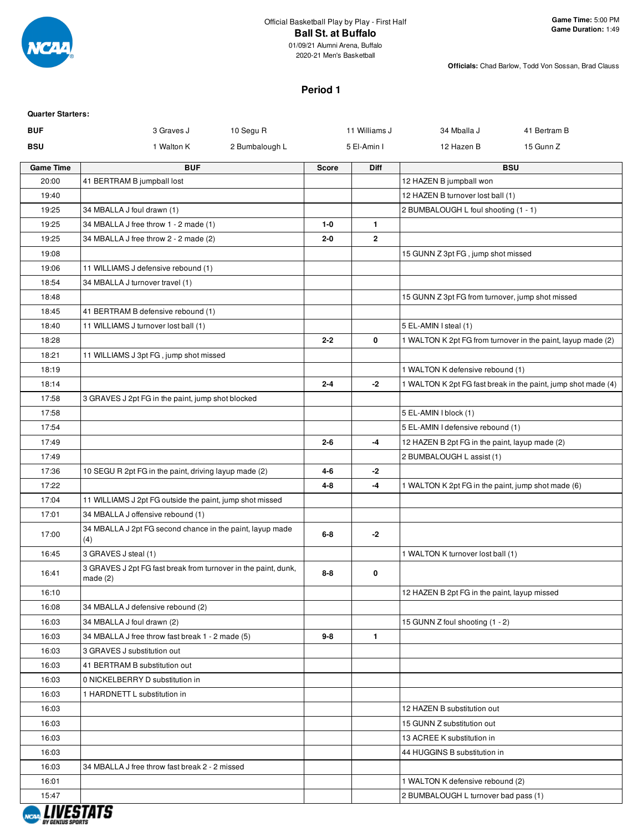

01/09/21 Alumni Arena, Buffalo 2020-21 Men's Basketball

**Officials:** Chad Barlow, Todd Von Sossan, Brad Clauss

#### **Period 1**

| <b>Quarter Starters:</b>       |                                                                            |                |         |               |                                                    |                                                               |
|--------------------------------|----------------------------------------------------------------------------|----------------|---------|---------------|----------------------------------------------------|---------------------------------------------------------------|
| <b>BUF</b>                     | 3 Graves J                                                                 | 10 Segu R      |         | 11 Williams J | 34 Mballa J                                        | 41 Bertram B                                                  |
| <b>BSU</b>                     | 1 Walton K                                                                 | 2 Bumbalough L |         | 5 El-Amin I   | 12 Hazen B                                         | 15 Gunn Z                                                     |
| <b>Game Time</b>               | <b>BUF</b>                                                                 |                | Score   | Diff          |                                                    | <b>BSU</b>                                                    |
| 20:00                          | 41 BERTRAM B jumpball lost                                                 |                |         |               | 12 HAZEN B jumpball won                            |                                                               |
| 19:40                          |                                                                            |                |         |               | 12 HAZEN B turnover lost ball (1)                  |                                                               |
| 19:25                          | 34 MBALLA J foul drawn (1)                                                 |                |         |               | 2 BUMBALOUGH L foul shooting (1 - 1)               |                                                               |
| 19:25                          | 34 MBALLA J free throw 1 - 2 made (1)                                      |                | $1 - 0$ | $\mathbf{1}$  |                                                    |                                                               |
| 19:25                          | 34 MBALLA J free throw 2 - 2 made (2)                                      |                | $2 - 0$ | $\mathbf{2}$  |                                                    |                                                               |
| 19:08                          |                                                                            |                |         |               | 15 GUNN Z 3pt FG, jump shot missed                 |                                                               |
| 19:06                          | 11 WILLIAMS J defensive rebound (1)                                        |                |         |               |                                                    |                                                               |
| 18:54                          | 34 MBALLA J turnover travel (1)                                            |                |         |               |                                                    |                                                               |
| 18:48                          |                                                                            |                |         |               | 15 GUNN Z 3pt FG from turnover, jump shot missed   |                                                               |
| 18:45                          | 41 BERTRAM B defensive rebound (1)                                         |                |         |               |                                                    |                                                               |
| 18:40                          | 11 WILLIAMS J turnover lost ball (1)                                       |                |         |               | 5 EL-AMIN I steal (1)                              |                                                               |
| 18:28                          |                                                                            |                | $2 - 2$ | 0             |                                                    | 1 WALTON K 2pt FG from turnover in the paint, layup made (2)  |
| 18:21                          | 11 WILLIAMS J 3pt FG, jump shot missed                                     |                |         |               |                                                    |                                                               |
| 18:19                          |                                                                            |                |         |               | 1 WALTON K defensive rebound (1)                   |                                                               |
| 18:14                          |                                                                            |                | $2 - 4$ | $-2$          |                                                    | 1 WALTON K 2pt FG fast break in the paint, jump shot made (4) |
| 17:58                          | 3 GRAVES J 2pt FG in the paint, jump shot blocked                          |                |         |               |                                                    |                                                               |
| 17:58                          |                                                                            |                |         |               | 5 EL-AMIN I block (1)                              |                                                               |
| 17:54                          |                                                                            |                |         |               | 5 EL-AMIN I defensive rebound (1)                  |                                                               |
| 17:49                          |                                                                            |                | $2 - 6$ | $-4$          | 12 HAZEN B 2pt FG in the paint, layup made (2)     |                                                               |
| 17:49                          |                                                                            |                |         |               | 2 BUMBALOUGH L assist (1)                          |                                                               |
| 17:36                          | 10 SEGU R 2pt FG in the paint, driving layup made (2)                      |                | 4-6     | $-2$          |                                                    |                                                               |
| 17:22                          |                                                                            |                | 4-8     | $-4$          | 1 WALTON K 2pt FG in the paint, jump shot made (6) |                                                               |
| 17:04                          | 11 WILLIAMS J 2pt FG outside the paint, jump shot missed                   |                |         |               |                                                    |                                                               |
| 17:01                          | 34 MBALLA J offensive rebound (1)                                          |                |         |               |                                                    |                                                               |
| 17:00                          | 34 MBALLA J 2pt FG second chance in the paint, layup made<br>(4)           |                | $6-8$   | $-2$          |                                                    |                                                               |
| 16:45                          | 3 GRAVES J steal (1)                                                       |                |         |               | 1 WALTON K turnover lost ball (1)                  |                                                               |
| 16:41                          | 3 GRAVES J 2pt FG fast break from turnover in the paint, dunk,<br>made (2) |                | $8 - 8$ | 0             |                                                    |                                                               |
| 16:10                          |                                                                            |                |         |               | 12 HAZEN B 2pt FG in the paint, layup missed       |                                                               |
| 16:08                          | 34 MBALLA J defensive rebound (2)                                          |                |         |               |                                                    |                                                               |
| 16:03                          | 34 MBALLA J foul drawn (2)                                                 |                |         |               | 15 GUNN Z foul shooting (1 - 2)                    |                                                               |
| 16:03                          | 34 MBALLA J free throw fast break 1 - 2 made (5)                           |                | $9 - 8$ | $\mathbf{1}$  |                                                    |                                                               |
| 16:03                          | 3 GRAVES J substitution out                                                |                |         |               |                                                    |                                                               |
| 16:03                          | 41 BERTRAM B substitution out                                              |                |         |               |                                                    |                                                               |
| 16:03                          | 0 NICKELBERRY D substitution in                                            |                |         |               |                                                    |                                                               |
| 16:03                          | 1 HARDNETT L substitution in                                               |                |         |               |                                                    |                                                               |
| 16:03                          |                                                                            |                |         |               | 12 HAZEN B substitution out                        |                                                               |
| 16:03                          |                                                                            |                |         |               | 15 GUNN Z substitution out                         |                                                               |
| 16:03                          |                                                                            |                |         |               | 13 ACREE K substitution in                         |                                                               |
| 16:03                          |                                                                            |                |         |               | 44 HUGGINS B substitution in                       |                                                               |
| 16:03                          | 34 MBALLA J free throw fast break 2 - 2 missed                             |                |         |               |                                                    |                                                               |
| 16:01                          |                                                                            |                |         |               | 1 WALTON K defensive rebound (2)                   |                                                               |
| 15:47                          |                                                                            |                |         |               | 2 BUMBALOUGH L turnover bad pass (1)               |                                                               |
| <i><b>BY GENIUS SPORT:</b></i> |                                                                            |                |         |               |                                                    |                                                               |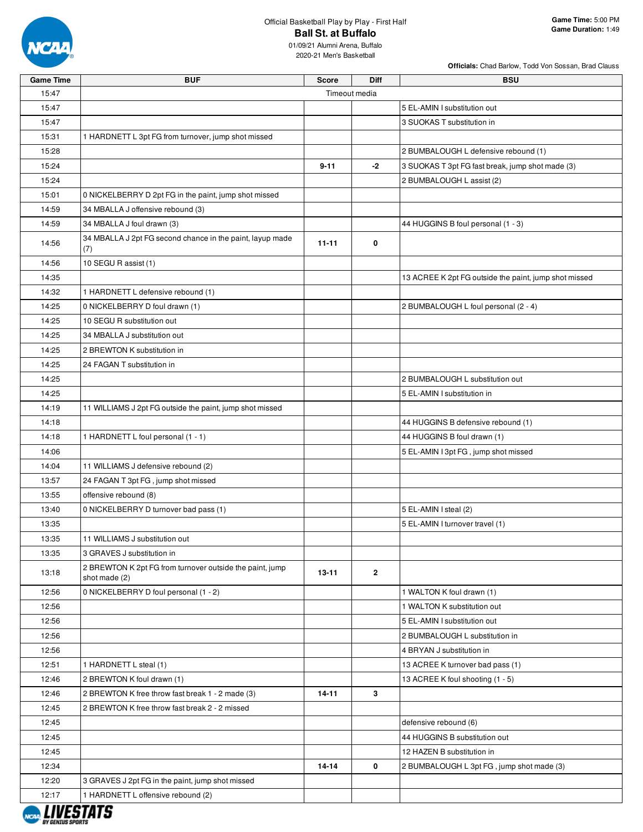

**Officials:** Chad Barlow, Todd Von Sossan, Brad Clauss

| <b>Game Time</b> | <b>BUF</b>                                                                | <b>Score</b>  | Diff           | <b>BSU</b>                                            |
|------------------|---------------------------------------------------------------------------|---------------|----------------|-------------------------------------------------------|
| 15:47            |                                                                           | Timeout media |                |                                                       |
| 15:47            |                                                                           |               |                | 5 EL-AMIN I substitution out                          |
| 15:47            |                                                                           |               |                | 3 SUOKAS T substitution in                            |
| 15:31            | 1 HARDNETT L 3pt FG from turnover, jump shot missed                       |               |                |                                                       |
| 15:28            |                                                                           |               |                | 2 BUMBALOUGH L defensive rebound (1)                  |
| 15:24            |                                                                           | $9 - 11$      | -2             | 3 SUOKAS T 3pt FG fast break, jump shot made (3)      |
| 15:24            |                                                                           |               |                | 2 BUMBALOUGH L assist (2)                             |
| 15:01            | 0 NICKELBERRY D 2pt FG in the paint, jump shot missed                     |               |                |                                                       |
| 14:59            | 34 MBALLA J offensive rebound (3)                                         |               |                |                                                       |
| 14:59            | 34 MBALLA J foul drawn (3)                                                |               |                | 44 HUGGINS B foul personal (1 - 3)                    |
| 14:56            | 34 MBALLA J 2pt FG second chance in the paint, layup made<br>(7)          | $11 - 11$     | 0              |                                                       |
| 14:56            | 10 SEGU R assist (1)                                                      |               |                |                                                       |
| 14:35            |                                                                           |               |                | 13 ACREE K 2pt FG outside the paint, jump shot missed |
| 14:32            | 1 HARDNETT L defensive rebound (1)                                        |               |                |                                                       |
| 14:25            | 0 NICKELBERRY D foul drawn (1)                                            |               |                | 2 BUMBALOUGH L foul personal (2 - 4)                  |
| 14:25            | 10 SEGU R substitution out                                                |               |                |                                                       |
| 14:25            | 34 MBALLA J substitution out                                              |               |                |                                                       |
| 14:25            | 2 BREWTON K substitution in                                               |               |                |                                                       |
| 14:25            | 24 FAGAN T substitution in                                                |               |                |                                                       |
| 14:25            |                                                                           |               |                | 2 BUMBALOUGH L substitution out                       |
| 14:25            |                                                                           |               |                | 5 EL-AMIN I substitution in                           |
| 14:19            | 11 WILLIAMS J 2pt FG outside the paint, jump shot missed                  |               |                |                                                       |
| 14:18            |                                                                           |               |                | 44 HUGGINS B defensive rebound (1)                    |
| 14:18            | 1 HARDNETT L foul personal (1 - 1)                                        |               |                | 44 HUGGINS B foul drawn (1)                           |
| 14:06            |                                                                           |               |                | 5 EL-AMIN I 3pt FG, jump shot missed                  |
| 14:04            | 11 WILLIAMS J defensive rebound (2)                                       |               |                |                                                       |
| 13:57            | 24 FAGAN T 3pt FG, jump shot missed                                       |               |                |                                                       |
| 13:55            | offensive rebound (8)                                                     |               |                |                                                       |
| 13:40            | 0 NICKELBERRY D turnover bad pass (1)                                     |               |                | 5 EL-AMIN I steal (2)                                 |
| 13:35            |                                                                           |               |                | 5 EL-AMIN I turnover travel (1)                       |
| 13:35            | 11 WILLIAMS J substitution out                                            |               |                |                                                       |
| 13:35            | 3 GRAVES J substitution in                                                |               |                |                                                       |
| 13:18            | 2 BREWTON K 2pt FG from turnover outside the paint, jump<br>shot made (2) | $13 - 11$     | $\overline{2}$ |                                                       |
| 12:56            | 0 NICKELBERRY D foul personal (1 - 2)                                     |               |                | 1 WALTON K foul drawn (1)                             |
| 12:56            |                                                                           |               |                | 1 WALTON K substitution out                           |
| 12:56            |                                                                           |               |                | 5 EL-AMIN I substitution out                          |
| 12:56            |                                                                           |               |                | 2 BUMBALOUGH L substitution in                        |
| 12:56            |                                                                           |               |                | 4 BRYAN J substitution in                             |
| 12:51            | 1 HARDNETT L steal (1)                                                    |               |                | 13 ACREE K turnover bad pass (1)                      |
| 12:46            | 2 BREWTON K foul drawn (1)                                                |               |                | 13 ACREE K foul shooting (1 - 5)                      |
| 12:46            | 2 BREWTON K free throw fast break 1 - 2 made (3)                          | 14-11         | 3              |                                                       |
| 12:45            | 2 BREWTON K free throw fast break 2 - 2 missed                            |               |                |                                                       |
| 12:45            |                                                                           |               |                | defensive rebound (6)                                 |
| 12:45            |                                                                           |               |                | 44 HUGGINS B substitution out                         |
| 12:45            |                                                                           |               |                | 12 HAZEN B substitution in                            |
| 12:34            |                                                                           | $14 - 14$     | $\mathbf 0$    | 2 BUMBALOUGH L 3pt FG, jump shot made (3)             |
| 12:20            | 3 GRAVES J 2pt FG in the paint, jump shot missed                          |               |                |                                                       |
| 12:17            | 1 HARDNETT L offensive rebound (2)                                        |               |                |                                                       |

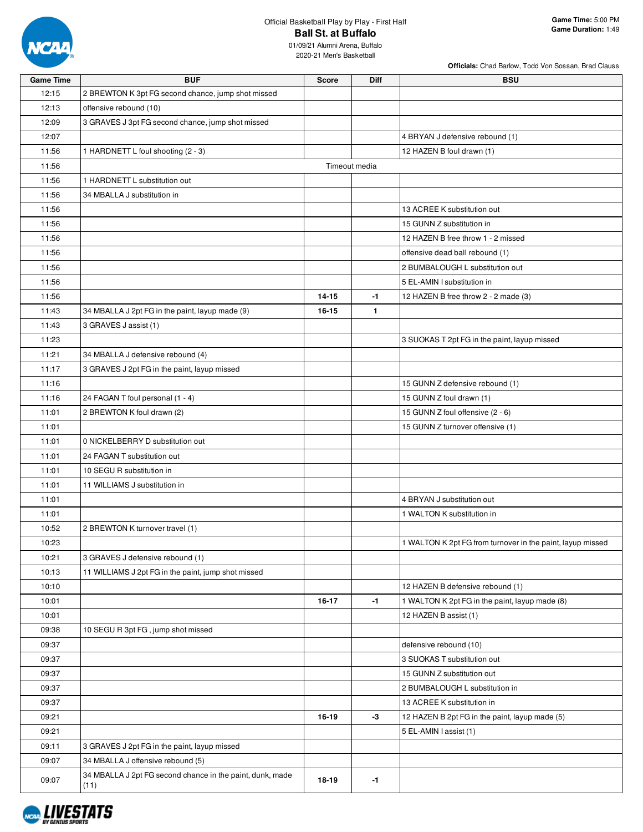

**Officials:** Chad Barlow, Todd Von Sossan, Brad Clauss

| <b>Game Time</b> | <b>BUF</b>                                                        | <b>Score</b>  | <b>Diff</b>  | <b>BSU</b>                                                 |
|------------------|-------------------------------------------------------------------|---------------|--------------|------------------------------------------------------------|
| 12:15            | 2 BREWTON K 3pt FG second chance, jump shot missed                |               |              |                                                            |
| 12:13            | offensive rebound (10)                                            |               |              |                                                            |
| 12:09            | 3 GRAVES J 3pt FG second chance, jump shot missed                 |               |              |                                                            |
| 12:07            |                                                                   |               |              | 4 BRYAN J defensive rebound (1)                            |
| 11:56            | 1 HARDNETT L foul shooting (2 - 3)                                |               |              | 12 HAZEN B foul drawn (1)                                  |
| 11:56            |                                                                   | Timeout media |              |                                                            |
| 11:56            | 1 HARDNETT L substitution out                                     |               |              |                                                            |
| 11:56            | 34 MBALLA J substitution in                                       |               |              |                                                            |
| 11:56            |                                                                   |               |              | 13 ACREE K substitution out                                |
| 11:56            |                                                                   |               |              | 15 GUNN Z substitution in                                  |
| 11:56            |                                                                   |               |              | 12 HAZEN B free throw 1 - 2 missed                         |
| 11:56            |                                                                   |               |              | offensive dead ball rebound (1)                            |
| 11:56            |                                                                   |               |              | 2 BUMBALOUGH L substitution out                            |
| 11:56            |                                                                   |               |              | 5 EL-AMIN I substitution in                                |
| 11:56            |                                                                   | 14-15         | -1           | 12 HAZEN B free throw 2 - 2 made (3)                       |
| 11:43            | 34 MBALLA J 2pt FG in the paint, layup made (9)                   | $16 - 15$     | $\mathbf{1}$ |                                                            |
| 11:43            | 3 GRAVES J assist (1)                                             |               |              |                                                            |
| 11:23            |                                                                   |               |              | 3 SUOKAS T 2pt FG in the paint, layup missed               |
| 11:21            | 34 MBALLA J defensive rebound (4)                                 |               |              |                                                            |
| 11:17            | 3 GRAVES J 2pt FG in the paint, layup missed                      |               |              |                                                            |
| 11:16            |                                                                   |               |              | 15 GUNN Z defensive rebound (1)                            |
| 11:16            | 24 FAGAN T foul personal (1 - 4)                                  |               |              | 15 GUNN Z foul drawn (1)                                   |
| 11:01            | 2 BREWTON K foul drawn (2)                                        |               |              | 15 GUNN Z foul offensive (2 - 6)                           |
| 11:01            |                                                                   |               |              | 15 GUNN Z turnover offensive (1)                           |
| 11:01            | 0 NICKELBERRY D substitution out                                  |               |              |                                                            |
| 11:01            | 24 FAGAN T substitution out                                       |               |              |                                                            |
| 11:01            | 10 SEGU R substitution in                                         |               |              |                                                            |
| 11:01            | 11 WILLIAMS J substitution in                                     |               |              |                                                            |
| 11:01            |                                                                   |               |              | 4 BRYAN J substitution out                                 |
| 11:01            |                                                                   |               |              | 1 WALTON K substitution in                                 |
| 10:52            | 2 BREWTON K turnover travel (1)                                   |               |              |                                                            |
| 10:23            |                                                                   |               |              | 1 WALTON K 2pt FG from turnover in the paint, layup missed |
| 10:21            | 3 GRAVES J defensive rebound (1)                                  |               |              |                                                            |
| 10:13            | 11 WILLIAMS J 2pt FG in the paint, jump shot missed               |               |              |                                                            |
| 10:10            |                                                                   |               |              | 12 HAZEN B defensive rebound (1)                           |
| 10:01            |                                                                   | 16-17         | $-1$         | 1 WALTON K 2pt FG in the paint, layup made (8)             |
|                  |                                                                   |               |              |                                                            |
| 10:01<br>09:38   | 10 SEGU R 3pt FG, jump shot missed                                |               |              | 12 HAZEN B assist (1)                                      |
|                  |                                                                   |               |              |                                                            |
| 09:37            |                                                                   |               |              | defensive rebound (10)                                     |
| 09:37            |                                                                   |               |              | 3 SUOKAS T substitution out                                |
| 09:37            |                                                                   |               |              | 15 GUNN Z substitution out                                 |
| 09:37            |                                                                   |               |              | 2 BUMBALOUGH L substitution in                             |
| 09:37            |                                                                   |               |              | 13 ACREE K substitution in                                 |
| 09:21            |                                                                   | 16-19         | -3           | 12 HAZEN B 2pt FG in the paint, layup made (5)             |
| 09:21            |                                                                   |               |              | 5 EL-AMIN I assist (1)                                     |
| 09:11            | 3 GRAVES J 2pt FG in the paint, layup missed                      |               |              |                                                            |
| 09:07            | 34 MBALLA J offensive rebound (5)                                 |               |              |                                                            |
| 09:07            | 34 MBALLA J 2pt FG second chance in the paint, dunk, made<br>(11) | 18-19         | -1           |                                                            |

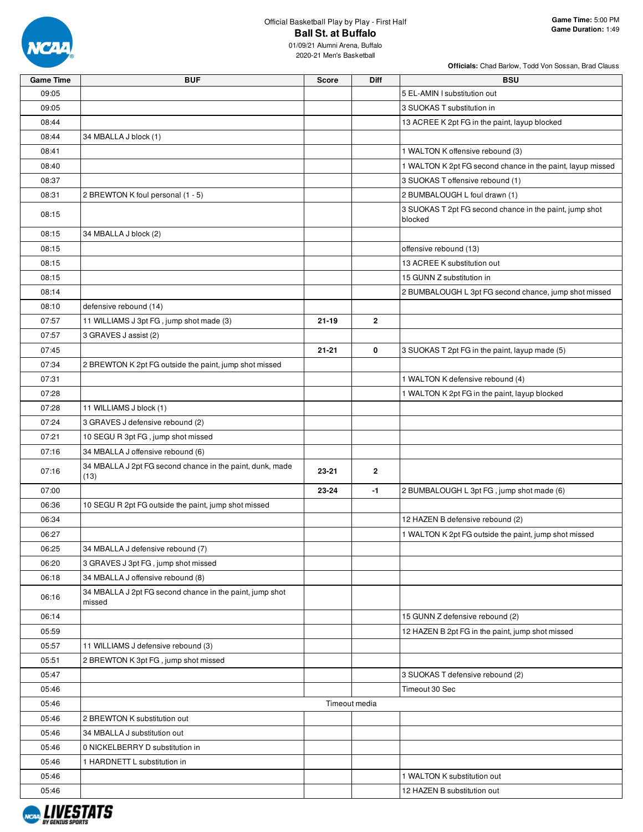

| <b>Game Time</b> | <b>BUF</b>                                                         | <b>Score</b> | Diff           | <b>BSU</b>                                                         |
|------------------|--------------------------------------------------------------------|--------------|----------------|--------------------------------------------------------------------|
| 09:05            |                                                                    |              |                | 5 EL-AMIN I substitution out                                       |
| 09:05            |                                                                    |              |                | 3 SUOKAS T substitution in                                         |
| 08:44            |                                                                    |              |                | 13 ACREE K 2pt FG in the paint, layup blocked                      |
| 08:44            | 34 MBALLA J block (1)                                              |              |                |                                                                    |
| 08:41            |                                                                    |              |                | 1 WALTON K offensive rebound (3)                                   |
| 08:40            |                                                                    |              |                | 1 WALTON K 2pt FG second chance in the paint, layup missed         |
| 08:37            |                                                                    |              |                | 3 SUOKAS T offensive rebound (1)                                   |
| 08:31            | 2 BREWTON K foul personal (1 - 5)                                  |              |                | 2 BUMBALOUGH L foul drawn (1)                                      |
| 08:15            |                                                                    |              |                | 3 SUOKAS T 2pt FG second chance in the paint, jump shot<br>blocked |
| 08:15            | 34 MBALLA J block (2)                                              |              |                |                                                                    |
| 08:15            |                                                                    |              |                | offensive rebound (13)                                             |
| 08:15            |                                                                    |              |                | 13 ACREE K substitution out                                        |
| 08:15            |                                                                    |              |                | 15 GUNN Z substitution in                                          |
| 08:14            |                                                                    |              |                | 2 BUMBALOUGH L 3pt FG second chance, jump shot missed              |
| 08:10            | defensive rebound (14)                                             |              |                |                                                                    |
| 07:57            | 11 WILLIAMS J 3pt FG, jump shot made (3)                           | $21 - 19$    | $\overline{2}$ |                                                                    |
| 07:57            | 3 GRAVES J assist (2)                                              |              |                |                                                                    |
| 07:45            |                                                                    | $21 - 21$    | 0              | 3 SUOKAS T 2pt FG in the paint, layup made (5)                     |
| 07:34            |                                                                    |              |                |                                                                    |
|                  | 2 BREWTON K 2pt FG outside the paint, jump shot missed             |              |                |                                                                    |
| 07:31            |                                                                    |              |                | 1 WALTON K defensive rebound (4)                                   |
| 07:28            |                                                                    |              |                | 1 WALTON K 2pt FG in the paint, layup blocked                      |
| 07:28            | 11 WILLIAMS J block (1)                                            |              |                |                                                                    |
| 07:24            | 3 GRAVES J defensive rebound (2)                                   |              |                |                                                                    |
| 07:21            | 10 SEGU R 3pt FG, jump shot missed                                 |              |                |                                                                    |
| 07:16            | 34 MBALLA J offensive rebound (6)                                  |              |                |                                                                    |
| 07:16            | 34 MBALLA J 2pt FG second chance in the paint, dunk, made<br>(13)  | 23-21        | $\mathbf{2}$   |                                                                    |
| 07:00            |                                                                    | 23-24        | -1             | 2 BUMBALOUGH L 3pt FG, jump shot made (6)                          |
| 06:36            | 10 SEGU R 2pt FG outside the paint, jump shot missed               |              |                |                                                                    |
| 06:34            |                                                                    |              |                | 12 HAZEN B defensive rebound (2)                                   |
| 06:27            |                                                                    |              |                | 1 WALTON K 2pt FG outside the paint, jump shot missed              |
| 06:25            | 34 MBALLA J defensive rebound (7)                                  |              |                |                                                                    |
| 06:20            | 3 GRAVES J 3pt FG, jump shot missed                                |              |                |                                                                    |
| 06:18            | 34 MBALLA J offensive rebound (8)                                  |              |                |                                                                    |
| 06:16            | 34 MBALLA J 2pt FG second chance in the paint, jump shot<br>missed |              |                |                                                                    |
| 06:14            |                                                                    |              |                | 15 GUNN Z defensive rebound (2)                                    |
| 05:59            |                                                                    |              |                | 12 HAZEN B 2pt FG in the paint, jump shot missed                   |
| 05:57            | 11 WILLIAMS J defensive rebound (3)                                |              |                |                                                                    |
| 05:51            | 2 BREWTON K 3pt FG, jump shot missed                               |              |                |                                                                    |
| 05:47            |                                                                    |              |                | 3 SUOKAS T defensive rebound (2)                                   |
| 05:46            |                                                                    |              |                | Timeout 30 Sec                                                     |
| 05:46            |                                                                    |              | Timeout media  |                                                                    |
| 05:46            | 2 BREWTON K substitution out                                       |              |                |                                                                    |
| 05:46            | 34 MBALLA J substitution out                                       |              |                |                                                                    |
| 05:46            | 0 NICKELBERRY D substitution in                                    |              |                |                                                                    |
| 05:46            | 1 HARDNETT L substitution in                                       |              |                |                                                                    |
|                  |                                                                    |              |                |                                                                    |
| 05:46            |                                                                    |              |                | 1 WALTON K substitution out                                        |
| 05:46            |                                                                    |              |                | 12 HAZEN B substitution out                                        |

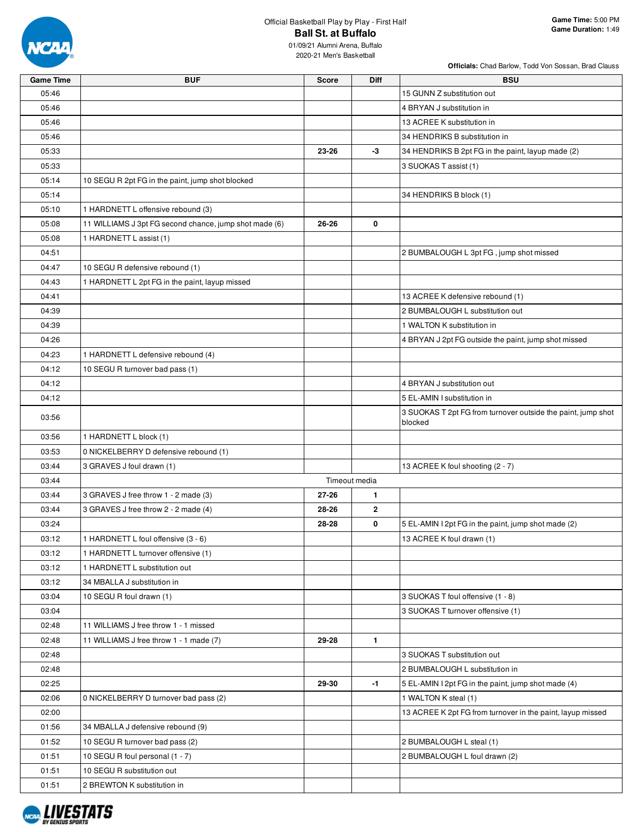

**Officials:** Chad Barlow, Todd Von Sossan, Brad Clauss

| <b>Game Time</b> | <b>BUF</b>                                             | <b>Score</b> | Diff          | <b>BSU</b>                                                   |
|------------------|--------------------------------------------------------|--------------|---------------|--------------------------------------------------------------|
| 05:46            |                                                        |              |               | 15 GUNN Z substitution out                                   |
| 05:46            |                                                        |              |               | 4 BRYAN J substitution in                                    |
| 05:46            |                                                        |              |               | 13 ACREE K substitution in                                   |
| 05:46            |                                                        |              |               | 34 HENDRIKS B substitution in                                |
| 05:33            |                                                        | 23-26        | -3            | 34 HENDRIKS B 2pt FG in the paint, layup made (2)            |
| 05:33            |                                                        |              |               | 3 SUOKAS T assist (1)                                        |
| 05:14            | 10 SEGU R 2pt FG in the paint, jump shot blocked       |              |               |                                                              |
| 05:14            |                                                        |              |               | 34 HENDRIKS B block (1)                                      |
| 05:10            | 1 HARDNETT L offensive rebound (3)                     |              |               |                                                              |
| 05:08            | 11 WILLIAMS J 3pt FG second chance, jump shot made (6) | 26-26        | 0             |                                                              |
| 05:08            | 1 HARDNETT L assist (1)                                |              |               |                                                              |
| 04:51            |                                                        |              |               | 2 BUMBALOUGH L 3pt FG, jump shot missed                      |
| 04:47            | 10 SEGU R defensive rebound (1)                        |              |               |                                                              |
| 04:43            | 1 HARDNETT L 2pt FG in the paint, layup missed         |              |               |                                                              |
| 04:41            |                                                        |              |               | 13 ACREE K defensive rebound (1)                             |
| 04:39            |                                                        |              |               | 2 BUMBALOUGH L substitution out                              |
| 04:39            |                                                        |              |               | 1 WALTON K substitution in                                   |
| 04:26            |                                                        |              |               | 4 BRYAN J 2pt FG outside the paint, jump shot missed         |
| 04:23            | 1 HARDNETT L defensive rebound (4)                     |              |               |                                                              |
| 04:12            | 10 SEGU R turnover bad pass (1)                        |              |               |                                                              |
| 04:12            |                                                        |              |               | 4 BRYAN J substitution out                                   |
| 04:12            |                                                        |              |               | 5 EL-AMIN I substitution in                                  |
|                  |                                                        |              |               | 3 SUOKAS T 2pt FG from turnover outside the paint, jump shot |
| 03:56            |                                                        |              |               | blocked                                                      |
| 03:56            | 1 HARDNETT L block (1)                                 |              |               |                                                              |
| 03:53            | 0 NICKELBERRY D defensive rebound (1)                  |              |               |                                                              |
| 03:44            | 3 GRAVES J foul drawn (1)                              |              |               | 13 ACREE K foul shooting (2 - 7)                             |
| 03:44            |                                                        |              | Timeout media |                                                              |
| 03:44            | 3 GRAVES J free throw 1 - 2 made (3)                   | 27-26        | $\mathbf{1}$  |                                                              |
| 03:44            | 3 GRAVES J free throw 2 - 2 made (4)                   | 28-26        | $\mathbf{2}$  |                                                              |
| 03:24            |                                                        | 28-28        | 0             | 5 EL-AMIN I 2pt FG in the paint, jump shot made (2)          |
| 03:12            | 1 HARDNETT L foul offensive (3 - 6)                    |              |               | 13 ACREE K foul drawn (1)                                    |
| 03:12            | 1 HARDNETT L turnover offensive (1)                    |              |               |                                                              |
| 03:12            | 1 HARDNETT L substitution out                          |              |               |                                                              |
| 03:12            | 34 MBALLA J substitution in                            |              |               |                                                              |
| 03:04            | 10 SEGU R foul drawn (1)                               |              |               | 3 SUOKAS T foul offensive (1 - 8)                            |
| 03:04            |                                                        |              |               | 3 SUOKAS T turnover offensive (1)                            |
| 02:48            | 11 WILLIAMS J free throw 1 - 1 missed                  |              |               |                                                              |
| 02:48            | 11 WILLIAMS J free throw 1 - 1 made (7)                | 29-28        | $\mathbf{1}$  |                                                              |
| 02:48            |                                                        |              |               | 3 SUOKAS T substitution out                                  |
| 02:48            |                                                        |              |               | 2 BUMBALOUGH L substitution in                               |
| 02:25            |                                                        | 29-30        | $-1$          | 5 EL-AMIN I 2pt FG in the paint, jump shot made (4)          |
| 02:06            | 0 NICKELBERRY D turnover bad pass (2)                  |              |               | 1 WALTON K steal (1)                                         |
| 02:00            |                                                        |              |               | 13 ACREE K 2pt FG from turnover in the paint, layup missed   |
| 01:56            | 34 MBALLA J defensive rebound (9)                      |              |               |                                                              |
| 01:52            | 10 SEGU R turnover bad pass (2)                        |              |               | 2 BUMBALOUGH L steal (1)                                     |
| 01:51            | 10 SEGU R foul personal (1 - 7)                        |              |               | 2 BUMBALOUGH L foul drawn (2)                                |
| 01:51            | 10 SEGU R substitution out                             |              |               |                                                              |
| 01:51            | 2 BREWTON K substitution in                            |              |               |                                                              |

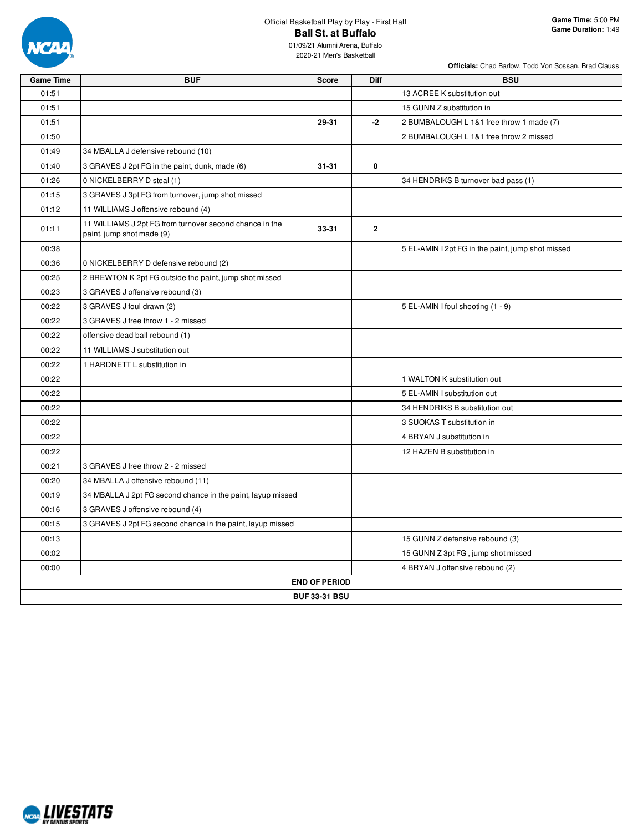

**Officials:** Chad Barlow, Todd Von Sossan, Brad Clauss

| <b>Game Time</b> | <b>BUF</b>                                                                           | Score                | Diff           | <b>BSU</b>                                        |
|------------------|--------------------------------------------------------------------------------------|----------------------|----------------|---------------------------------------------------|
| 01:51            |                                                                                      |                      |                | 13 ACREE K substitution out                       |
| 01:51            |                                                                                      |                      |                | 15 GUNN Z substitution in                         |
| 01:51            |                                                                                      | 29-31                | $-2$           | 2 BUMBALOUGH L 1&1 free throw 1 made (7)          |
| 01:50            |                                                                                      |                      |                | 2 BUMBALOUGH L 1&1 free throw 2 missed            |
| 01:49            | 34 MBALLA J defensive rebound (10)                                                   |                      |                |                                                   |
| 01:40            | 3 GRAVES J 2pt FG in the paint, dunk, made (6)                                       | $31 - 31$            | 0              |                                                   |
| 01:26            | 0 NICKELBERRY D steal (1)                                                            |                      |                | 34 HENDRIKS B turnover bad pass (1)               |
| 01:15            | 3 GRAVES J 3pt FG from turnover, jump shot missed                                    |                      |                |                                                   |
| 01:12            | 11 WILLIAMS J offensive rebound (4)                                                  |                      |                |                                                   |
| 01:11            | 11 WILLIAMS J 2pt FG from turnover second chance in the<br>paint, jump shot made (9) | 33-31                | $\overline{2}$ |                                                   |
| 00:38            |                                                                                      |                      |                | 5 EL-AMIN I 2pt FG in the paint, jump shot missed |
| 00:36            | 0 NICKELBERRY D defensive rebound (2)                                                |                      |                |                                                   |
| 00:25            | 2 BREWTON K 2pt FG outside the paint, jump shot missed                               |                      |                |                                                   |
| 00:23            | 3 GRAVES J offensive rebound (3)                                                     |                      |                |                                                   |
| 00:22            | 3 GRAVES J foul drawn (2)                                                            |                      |                | 5 EL-AMIN I foul shooting (1 - 9)                 |
| 00:22            | 3 GRAVES J free throw 1 - 2 missed                                                   |                      |                |                                                   |
| 00:22            | offensive dead ball rebound (1)                                                      |                      |                |                                                   |
| 00:22            | 11 WILLIAMS J substitution out                                                       |                      |                |                                                   |
| 00:22            | 1 HARDNETT L substitution in                                                         |                      |                |                                                   |
| 00:22            |                                                                                      |                      |                | 1 WALTON K substitution out                       |
| 00:22            |                                                                                      |                      |                | 5 EL-AMIN I substitution out                      |
| 00:22            |                                                                                      |                      |                | 34 HENDRIKS B substitution out                    |
| 00:22            |                                                                                      |                      |                | 3 SUOKAS T substitution in                        |
| 00:22            |                                                                                      |                      |                | 4 BRYAN J substitution in                         |
| 00:22            |                                                                                      |                      |                | 12 HAZEN B substitution in                        |
| 00:21            | 3 GRAVES J free throw 2 - 2 missed                                                   |                      |                |                                                   |
| 00:20            | 34 MBALLA J offensive rebound (11)                                                   |                      |                |                                                   |
| 00:19            | 34 MBALLA J 2pt FG second chance in the paint, layup missed                          |                      |                |                                                   |
| 00:16            | 3 GRAVES J offensive rebound (4)                                                     |                      |                |                                                   |
| 00:15            | 3 GRAVES J 2pt FG second chance in the paint, layup missed                           |                      |                |                                                   |
| 00:13            |                                                                                      |                      |                | 15 GUNN Z defensive rebound (3)                   |
| 00:02            |                                                                                      |                      |                | 15 GUNN Z 3pt FG, jump shot missed                |
| 00:00            |                                                                                      |                      |                | 4 BRYAN J offensive rebound (2)                   |
|                  |                                                                                      | <b>END OF PERIOD</b> |                |                                                   |
|                  |                                                                                      | <b>BUF 33-31 BSU</b> |                |                                                   |

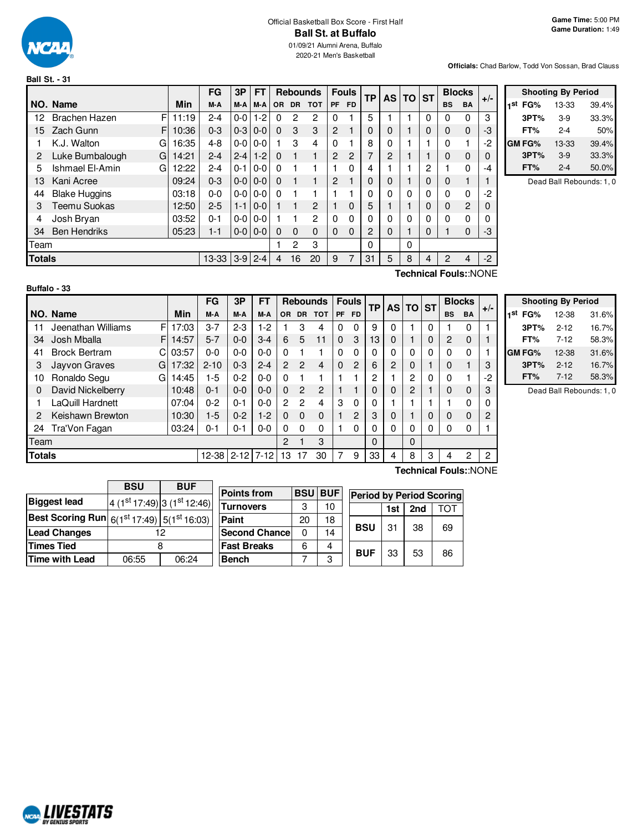

**Ball St. - 31**

# Official Basketball Box Score - First Half **Ball St. at Buffalo**

01/09/21 Alumni Arena, Buffalo 2020-21 Men's Basketball

#### **Officials:** Chad Barlow, Todd Von Sossan, Brad Clauss

|               |                           |       | FG          | 3P      | <b>FT</b> |          | <b>Rebounds</b> |            |                | <b>Fouls</b> | TP       | <b>AS</b> | <b>TO</b> | <b>ST</b> |                | <b>Blocks</b>  | $+/-$ |
|---------------|---------------------------|-------|-------------|---------|-----------|----------|-----------------|------------|----------------|--------------|----------|-----------|-----------|-----------|----------------|----------------|-------|
|               | NO. Name                  | Min   | M-A         | M-A     | M-A       | OR.      | <b>DR</b>       | <b>TOT</b> | PF             | <b>FD</b>    |          |           |           |           | <b>BS</b>      | <b>BA</b>      |       |
| 12            | F<br><b>Brachen Hazen</b> | 11:19 | $2 - 4$     | $0-0$   | $1-2$     | 0        | $\overline{c}$  | 2          | 0              |              | 5        |           |           | 0         | 0              | $\Omega$       | 3     |
| 15            | Zach Gunn<br>F.           | 10:36 | $0 - 3$     | $0 - 3$ | $0 - 0$   | $\Omega$ | 3               | 3          | $\overline{2}$ |              | 0        | 0         |           | 0         | 0              | $\Omega$       | -3    |
|               | K.J. Walton<br>G          | 16:35 | $4 - 8$     | $0 - 0$ | $0-0$     |          | 3               | 4          | $\Omega$       |              | 8        | 0         |           |           | $\Omega$       |                | -2    |
| 2             | Luke Bumbalough<br>G      | 14:21 | $2 - 4$     | $2 - 4$ | $1-2$     | $\Omega$ |                 |            | $\overline{2}$ | 2            | 7        | 2         |           |           | 0              | $\Omega$       | 0     |
| 5             | Ishmael El-Amin<br>G      | 12:22 | $2 - 4$     | $0 - 1$ | $0 - 0$   | $\Omega$ |                 |            |                | 0            | 4        |           |           | 2         |                | $\Omega$       | -4    |
| 13            | Kani Acree                | 09:24 | $0 - 3$     | $0 - 0$ | $0 - 0$   | $\Omega$ |                 |            | $\overline{2}$ |              | 0        | 0         |           | 0         | 0              |                |       |
| 44            | <b>Blake Huggins</b>      | 03:18 | $0 - 0$     | $0-0$   | $0-0$     | $\Omega$ |                 |            |                |              | 0        | 0         | $\Omega$  | 0         | 0              | $\Omega$       | -2    |
| З             | Teemu Suokas              | 12:50 | $2 - 5$     | $1 - 1$ | $0 - 0$   |          | 1               | 2          |                | 0            | 5        |           |           | 0         | 0              | $\overline{2}$ | 0     |
| 4             | Josh Bryan                | 03:52 | $0 - 1$     | $0-0$   | $0-0$     |          |                 | 2          | $\Omega$       | 0            | 0        | 0         | $\Omega$  | 0         | 0              | $\Omega$       | 0     |
| 34            | <b>Ben Hendriks</b>       | 05:23 | 1-1         | $0-0$   | $0 - 0$   | 0        | $\Omega$        | 0          | $\Omega$       | 0            | 2        | 0         | 1         | 0         |                | $\Omega$       | -3    |
| Team          |                           |       |             |         |           |          | 2               | 3          |                |              | $\Omega$ |           | 0         |           |                |                |       |
| <b>Totals</b> |                           |       | $13-33$ 3-9 |         | $2 - 4$   | 4        | 16              | 20         | 9              | 7            | 31       | 5         | 8         | 4         | $\overline{2}$ | 4              | $-2$  |
|               |                           |       |             |         |           |          |                 |            |                |              |          | -         |           |           | -              |                | .     |

|     | <b>Shooting By Period</b> |         |       |  |  |  |  |  |
|-----|---------------------------|---------|-------|--|--|--|--|--|
| 1st | FG%                       | 13-33   | 39.4% |  |  |  |  |  |
|     | 3PT%                      | $3-9$   | 33.3% |  |  |  |  |  |
|     | FT%                       | $2 - 4$ | 50%   |  |  |  |  |  |
|     | GM FG%                    | 13-33   | 39.4% |  |  |  |  |  |
|     | 3PT%                      | $3-9$   | 33.3% |  |  |  |  |  |
|     | FT%                       | $2 - 4$ | 50.0% |  |  |  |  |  |

Dead Ball Rebounds: 1, 0

| Buffalo - 33 |  |
|--------------|--|
|--------------|--|

**Technical Fouls:**:NONE

|               |                         |       | FG         | 3P      | FT       |                |                | <b>Rebounds</b> |           | <b>Fouls</b> | <b>TP</b> | AS TO ST |   |   | <b>Blocks</b> |           | $+/-$ |
|---------------|-------------------------|-------|------------|---------|----------|----------------|----------------|-----------------|-----------|--------------|-----------|----------|---|---|---------------|-----------|-------|
|               | NO. Name                | Min   | M-A        | M-A     | M-A      | OR.            | <b>DR</b>      | <b>TOT</b>      | <b>PF</b> | FD.          |           |          |   |   | <b>BS</b>     | <b>BA</b> |       |
| 11            | Jeenathan Williams<br>F | 17:03 | $3 - 7$    | $2 - 3$ | $1-2$    |                | 3              | 4               | 0         | 0            | 9         | 0        |   | 0 |               | $\Omega$  |       |
| 34            | F<br>Josh Mballa        | 14:57 | $5 - 7$    | $0 - 0$ | $3-4$    | 6              | 5              | 11              | $\Omega$  | 3            | 13        | 0        |   | 0 | 2             | 0         |       |
| 41            | <b>Brock Bertram</b>    | 03:57 | $0 - 0$    | $0 - 0$ | $0 - 0$  | 0              |                |                 | $\Omega$  | $\Omega$     |           | 0        | 0 | 0 |               | $\Omega$  |       |
| 3             | Jayvon Graves<br>G      | 17:32 | $2 - 10$   | $0 - 3$ | $2 - 4$  | $\overline{2}$ | $\mathcal{P}$  | 4               | $\Omega$  | 2            | 6         | 2        | 0 |   |               |           | 3     |
| 10            | Ronaldo Segu<br>G       | 14:45 | 1-5        | $0 - 2$ | $0 - 0$  | 0              |                |                 |           |              | 2         |          | 2 | 0 | <sup>0</sup>  |           | -2    |
| 0             | David Nickelberry       | 10:48 | $0 - 1$    | $0 - 0$ | $0 - 0$  | $\Omega$       | $\overline{2}$ | $\overline{2}$  |           |              |           | 0        | 2 |   |               | 0         | 3     |
|               | LaQuill Hardnett        | 07:04 | $0 - 2$    | $0 - 1$ | $0-0$    | $\mathcal{P}$  | $\overline{2}$ | 4               | 3         | 0            |           |          |   |   |               | 0         |       |
| 2             | Keishawn Brewton        | 10:30 | $1-5$      | $0 - 2$ | $1-2$    | 0              | $\Omega$       | 0               |           | 2            | 3         | 0        |   | 0 |               | $\Omega$  |       |
| 24            | Tra'Von Fagan           | 03:24 | $0 - 1$    | $0 - 1$ | $0 - 0$  | 0              | 0              | 0               |           | 0            | 0         | 0        | 0 | 0 | 0             | 0         |       |
| Team          |                         |       |            |         |          | $\mathcal{P}$  |                | 3               |           |              | 0         |          | 0 |   |               |           |       |
| <b>Totals</b> |                         |       | 12-38 2-12 |         | $7 - 12$ | 13             |                | 30              |           | 9            | 33        | 4        | 8 | 3 | 4             | 2         | 2     |

|     | <b>Shooting By Period</b> |          |       |  |  |  |  |  |
|-----|---------------------------|----------|-------|--|--|--|--|--|
| 1st | FG%                       | 12-38    | 31.6% |  |  |  |  |  |
|     | 3PT%                      | $2 - 12$ | 16.7% |  |  |  |  |  |
|     | FT%                       | $7 - 12$ | 58.3% |  |  |  |  |  |
|     | GM FG%                    | 12-38    | 31.6% |  |  |  |  |  |
|     | 3PT%                      | $2 - 12$ | 16.7% |  |  |  |  |  |
|     | FT%                       | $7-12$   | 58.3% |  |  |  |  |  |

Dead Ball Rebounds: 1, 0

|                                                             | <b>BSU</b> | <b>BUF</b>                              |                       |    |                |                                 |     |     |     |
|-------------------------------------------------------------|------------|-----------------------------------------|-----------------------|----|----------------|---------------------------------|-----|-----|-----|
|                                                             |            |                                         | <b>Points from</b>    |    | <b>BSU BUF</b> | <b>Period by Period Scoring</b> |     |     |     |
| <b>Biggest lead</b>                                         |            | $4(1st17:49)$ 3 (1 <sup>st</sup> 12:46) | <b>Turnovers</b>      | 3  | 10             |                                 | 1st | 2nd | гот |
| <b>Best Scoring Run</b> $6(1^{st} 17:49)$ $5(1^{st} 16:03)$ |            |                                         | Paint                 | 20 | 18             |                                 |     |     |     |
| <b>Lead Changes</b>                                         |            | 12                                      | <b>Second Chancel</b> |    | 14             | <b>BSU</b>                      | 31  | 38  | 69  |
| <b>Times Tied</b>                                           |            |                                         | <b>Fast Breaks</b>    | 6  | 4              | <b>BUF</b>                      | 33  | 53  | 86  |
| <b>Time with Lead</b>                                       | 06:55      | 06:24                                   | <b>Bench</b>          |    | 3              |                                 |     |     |     |

**Technical Fouls:**:NONE

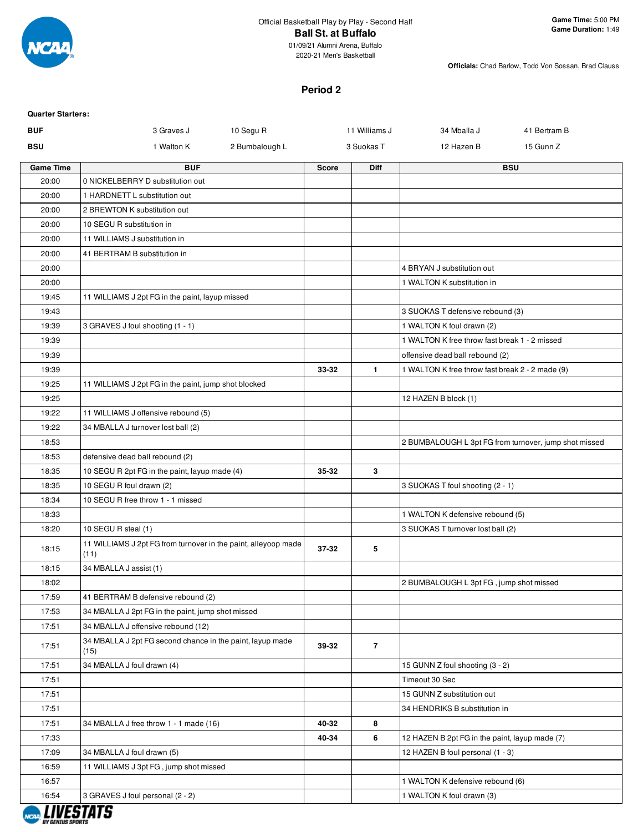

2020-21 Men's Basketball

**Officials:** Chad Barlow, Todd Von Sossan, Brad Clauss

### **Period 2**

| <b>Quarter Starters:</b> |                                                                        |                |                |                                                       |              |
|--------------------------|------------------------------------------------------------------------|----------------|----------------|-------------------------------------------------------|--------------|
| <b>BUF</b>               | 3 Graves J<br>10 Segu R                                                |                | 11 Williams J  | 34 Mballa J                                           | 41 Bertram B |
| <b>BSU</b>               | 1 Walton K                                                             | 2 Bumbalough L | 3 Suokas T     | 12 Hazen B                                            | 15 Gunn Z    |
| <b>Game Time</b>         | <b>BUF</b>                                                             | Score          | <b>Diff</b>    |                                                       | <b>BSU</b>   |
| 20:00                    | 0 NICKELBERRY D substitution out                                       |                |                |                                                       |              |
| 20:00                    | 1 HARDNETT L substitution out                                          |                |                |                                                       |              |
| 20:00                    | 2 BREWTON K substitution out                                           |                |                |                                                       |              |
| 20:00                    | 10 SEGU R substitution in                                              |                |                |                                                       |              |
| 20:00                    | 11 WILLIAMS J substitution in                                          |                |                |                                                       |              |
| 20:00                    | 41 BERTRAM B substitution in                                           |                |                |                                                       |              |
| 20:00                    |                                                                        |                |                | 4 BRYAN J substitution out                            |              |
| 20:00                    |                                                                        |                |                | 1 WALTON K substitution in                            |              |
| 19:45                    | 11 WILLIAMS J 2pt FG in the paint, layup missed                        |                |                |                                                       |              |
| 19:43                    |                                                                        |                |                | 3 SUOKAS T defensive rebound (3)                      |              |
| 19:39                    | 3 GRAVES J foul shooting (1 - 1)                                       |                |                | 1 WALTON K foul drawn (2)                             |              |
| 19:39                    |                                                                        |                |                | 1 WALTON K free throw fast break 1 - 2 missed         |              |
| 19:39                    |                                                                        |                |                | offensive dead ball rebound (2)                       |              |
| 19:39                    | 11 WILLIAMS J 2pt FG in the paint, jump shot blocked                   | 33-32          | $\mathbf{1}$   | 1 WALTON K free throw fast break 2 - 2 made (9)       |              |
| 19:25<br>19:25           |                                                                        |                |                | 12 HAZEN B block (1)                                  |              |
| 19:22                    | 11 WILLIAMS J offensive rebound (5)                                    |                |                |                                                       |              |
| 19:22                    | 34 MBALLA J turnover lost ball (2)                                     |                |                |                                                       |              |
| 18:53                    |                                                                        |                |                | 2 BUMBALOUGH L 3pt FG from turnover, jump shot missed |              |
| 18:53                    | defensive dead ball rebound (2)                                        |                |                |                                                       |              |
| 18:35                    | 10 SEGU R 2pt FG in the paint, layup made (4)                          | 35-32          | 3              |                                                       |              |
| 18:35                    | 10 SEGU R foul drawn (2)                                               |                |                | 3 SUOKAS T foul shooting (2 - 1)                      |              |
| 18:34                    | 10 SEGU R free throw 1 - 1 missed                                      |                |                |                                                       |              |
| 18:33                    |                                                                        |                |                | 1 WALTON K defensive rebound (5)                      |              |
| 18:20                    | 10 SEGU R steal (1)                                                    |                |                | 3 SUOKAS T turnover lost ball (2)                     |              |
| 18:15                    | 11 WILLIAMS J 2pt FG from turnover in the paint, alleyoop made<br>(11) | 37-32          | 5              |                                                       |              |
| 18:15                    | 34 MBALLA J assist (1)                                                 |                |                |                                                       |              |
| 18:02                    |                                                                        |                |                | 2 BUMBALOUGH L 3pt FG, jump shot missed               |              |
| 17:59                    | 41 BERTRAM B defensive rebound (2)                                     |                |                |                                                       |              |
| 17:53                    | 34 MBALLA J 2pt FG in the paint, jump shot missed                      |                |                |                                                       |              |
| 17:51                    | 34 MBALLA J offensive rebound (12)                                     |                |                |                                                       |              |
| 17:51                    | 34 MBALLA J 2pt FG second chance in the paint, layup made<br>(15)      | 39-32          | $\overline{7}$ |                                                       |              |
| 17:51                    | 34 MBALLA J foul drawn (4)                                             |                |                | 15 GUNN Z foul shooting (3 - 2)                       |              |
| 17:51                    |                                                                        |                |                | Timeout 30 Sec                                        |              |
| 17:51                    |                                                                        |                |                | 15 GUNN Z substitution out                            |              |
| 17:51                    |                                                                        |                |                | 34 HENDRIKS B substitution in                         |              |
| 17:51                    | 34 MBALLA J free throw 1 - 1 made (16)                                 | 40-32          | 8              |                                                       |              |
| 17:33                    |                                                                        | 40-34          | 6              | 12 HAZEN B 2pt FG in the paint, layup made (7)        |              |
| 17:09                    | 34 MBALLA J foul drawn (5)                                             |                |                | 12 HAZEN B foul personal (1 - 3)                      |              |
| 16:59                    | 11 WILLIAMS J 3pt FG, jump shot missed                                 |                |                |                                                       |              |
| 16:57                    |                                                                        |                |                | 1 WALTON K defensive rebound (6)                      |              |
| 16:54                    | 3 GRAVES J foul personal (2 - 2)                                       |                |                | 1 WALTON K foul drawn (3)                             |              |

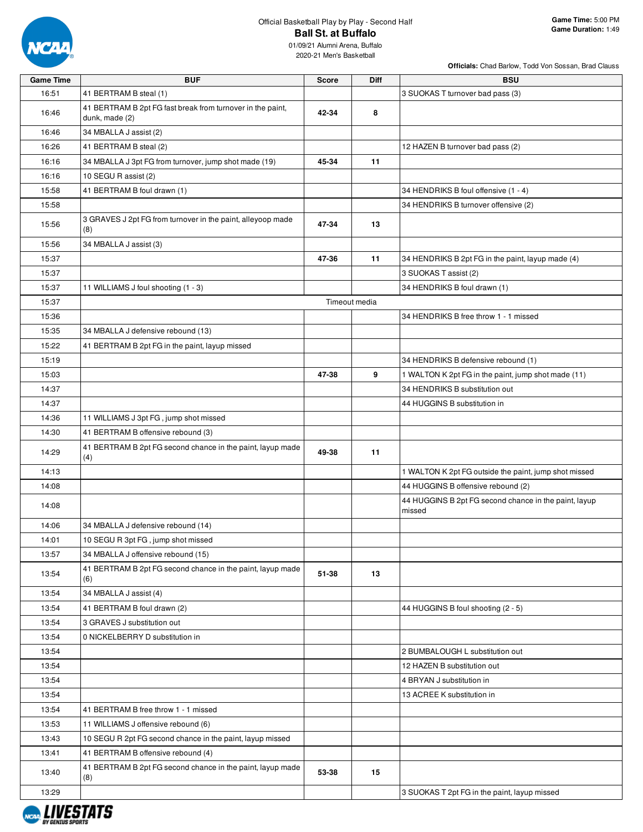

**Officials:** Chad Barlow, Todd Von Sossan, Brad Clauss

| <b>Game Time</b> | <b>BUF</b>                                                                   | <b>Score</b> | Diff          | <b>BSU</b>                                                      |
|------------------|------------------------------------------------------------------------------|--------------|---------------|-----------------------------------------------------------------|
| 16:51            | 41 BERTRAM B steal (1)                                                       |              |               | 3 SUOKAS T turnover bad pass (3)                                |
| 16:46            | 41 BERTRAM B 2pt FG fast break from turnover in the paint,<br>dunk, made (2) | 42-34        | 8             |                                                                 |
| 16:46            | 34 MBALLA J assist (2)                                                       |              |               |                                                                 |
| 16:26            | 41 BERTRAM B steal (2)                                                       |              |               | 12 HAZEN B turnover bad pass (2)                                |
| 16:16            | 34 MBALLA J 3pt FG from turnover, jump shot made (19)                        | 45-34        | 11            |                                                                 |
| 16:16            | 10 SEGU R assist (2)                                                         |              |               |                                                                 |
| 15:58            |                                                                              |              |               | 34 HENDRIKS B foul offensive (1 - 4)                            |
| 15:58            | 41 BERTRAM B foul drawn (1)                                                  |              |               | 34 HENDRIKS B turnover offensive (2)                            |
| 15:56            | 3 GRAVES J 2pt FG from turnover in the paint, alleyoop made<br>(8)           | 47-34        | 13            |                                                                 |
| 15:56            | 34 MBALLA J assist (3)                                                       |              |               |                                                                 |
| 15:37            |                                                                              | 47-36        | 11            | 34 HENDRIKS B 2pt FG in the paint, layup made (4)               |
| 15:37            |                                                                              |              |               | 3 SUOKAS T assist (2)                                           |
| 15:37            | 11 WILLIAMS J foul shooting (1 - 3)                                          |              |               | 34 HENDRIKS B foul drawn (1)                                    |
| 15:37            |                                                                              |              | Timeout media |                                                                 |
| 15:36            |                                                                              |              |               | 34 HENDRIKS B free throw 1 - 1 missed                           |
|                  |                                                                              |              |               |                                                                 |
| 15:35            | 34 MBALLA J defensive rebound (13)                                           |              |               |                                                                 |
| 15:22            | 41 BERTRAM B 2pt FG in the paint, layup missed                               |              |               |                                                                 |
| 15:19            |                                                                              |              |               | 34 HENDRIKS B defensive rebound (1)                             |
| 15:03            |                                                                              | 47-38        | 9             | 1 WALTON K 2pt FG in the paint, jump shot made (11)             |
| 14:37            |                                                                              |              |               | 34 HENDRIKS B substitution out                                  |
| 14:37            |                                                                              |              |               | 44 HUGGINS B substitution in                                    |
| 14:36            | 11 WILLIAMS J 3pt FG, jump shot missed                                       |              |               |                                                                 |
| 14:30            | 41 BERTRAM B offensive rebound (3)                                           |              |               |                                                                 |
| 14:29            | 41 BERTRAM B 2pt FG second chance in the paint, layup made<br>(4)            | 49-38        | 11            |                                                                 |
| 14:13            |                                                                              |              |               | 1 WALTON K 2pt FG outside the paint, jump shot missed           |
| 14:08            |                                                                              |              |               | 44 HUGGINS B offensive rebound (2)                              |
| 14:08            |                                                                              |              |               | 44 HUGGINS B 2pt FG second chance in the paint, layup<br>missed |
| 14:06            | 34 MBALLA J defensive rebound (14)                                           |              |               |                                                                 |
| 14:01            | 10 SEGU R 3pt FG, jump shot missed                                           |              |               |                                                                 |
| 13:57            | 34 MBALLA J offensive rebound (15)                                           |              |               |                                                                 |
| 13:54            | 41 BERTRAM B 2pt FG second chance in the paint, layup made<br>(6)            | 51-38        | 13            |                                                                 |
| 13:54            | 34 MBALLA J assist (4)                                                       |              |               |                                                                 |
| 13:54            | 41 BERTRAM B foul drawn (2)                                                  |              |               | 44 HUGGINS B foul shooting (2 - 5)                              |
| 13:54            | 3 GRAVES J substitution out                                                  |              |               |                                                                 |
| 13:54            | 0 NICKELBERRY D substitution in                                              |              |               |                                                                 |
| 13:54            |                                                                              |              |               | 2 BUMBALOUGH L substitution out                                 |
| 13:54            |                                                                              |              |               | 12 HAZEN B substitution out                                     |
| 13:54            |                                                                              |              |               | 4 BRYAN J substitution in                                       |
| 13:54            |                                                                              |              |               | 13 ACREE K substitution in                                      |
| 13:54            | 41 BERTRAM B free throw 1 - 1 missed                                         |              |               |                                                                 |
| 13:53            | 11 WILLIAMS J offensive rebound (6)                                          |              |               |                                                                 |
| 13:43            | 10 SEGU R 2pt FG second chance in the paint, layup missed                    |              |               |                                                                 |
| 13:41            | 41 BERTRAM B offensive rebound (4)                                           |              |               |                                                                 |
| 13:40            | 41 BERTRAM B 2pt FG second chance in the paint, layup made<br>(8)            | 53-38        | 15            |                                                                 |
| 13:29            |                                                                              |              |               | 3 SUOKAS T 2pt FG in the paint, layup missed                    |

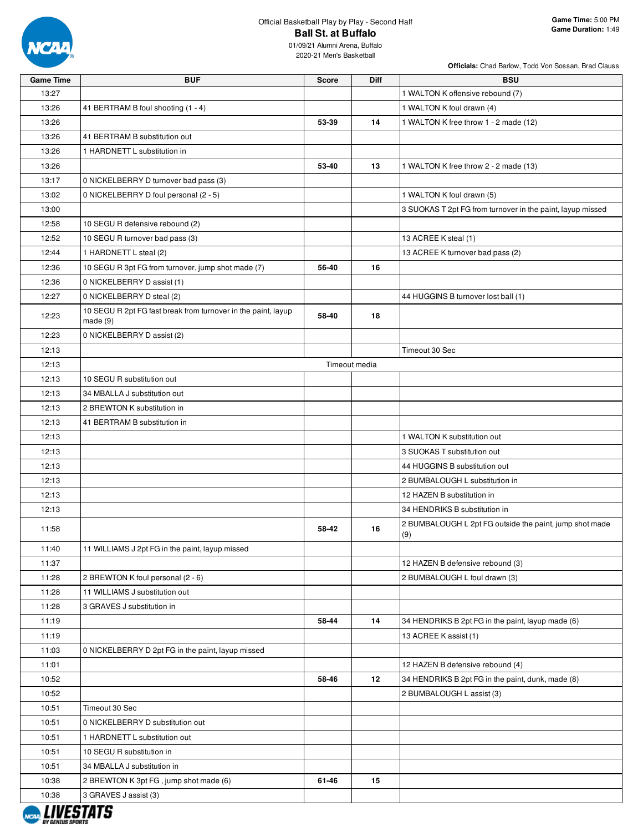

| <b>Game Time</b> | <b>BUF</b>                                                                | <b>Score</b>  | Diff | <b>BSU</b>                                                 |
|------------------|---------------------------------------------------------------------------|---------------|------|------------------------------------------------------------|
| 13:27            |                                                                           |               |      | 1 WALTON K offensive rebound (7)                           |
| 13:26            | 41 BERTRAM B foul shooting (1 - 4)                                        |               |      | 1 WALTON K foul drawn (4)                                  |
| 13:26            |                                                                           | 53-39         | 14   | 1 WALTON K free throw 1 - 2 made (12)                      |
| 13:26            | 41 BERTRAM B substitution out                                             |               |      |                                                            |
| 13:26            | 1 HARDNETT L substitution in                                              |               |      |                                                            |
| 13:26            |                                                                           | 53-40         | 13   | 1 WALTON K free throw 2 - 2 made (13)                      |
| 13:17            | 0 NICKELBERRY D turnover bad pass (3)                                     |               |      |                                                            |
| 13:02            | 0 NICKELBERRY D foul personal (2 - 5)                                     |               |      | 1 WALTON K foul drawn (5)                                  |
| 13:00            |                                                                           |               |      | 3 SUOKAS T 2pt FG from turnover in the paint, layup missed |
| 12:58            | 10 SEGU R defensive rebound (2)                                           |               |      |                                                            |
| 12:52            | 10 SEGU R turnover bad pass (3)                                           |               |      | 13 ACREE K steal (1)                                       |
| 12:44            | 1 HARDNETT L steal (2)                                                    |               |      | 13 ACREE K turnover bad pass (2)                           |
| 12:36            | 10 SEGU R 3pt FG from turnover, jump shot made (7)                        | 56-40         | 16   |                                                            |
| 12:36            | 0 NICKELBERRY D assist (1)                                                |               |      |                                                            |
| 12:27            | 0 NICKELBERRY D steal (2)                                                 |               |      | 44 HUGGINS B turnover lost ball (1)                        |
| 12:23            | 10 SEGU R 2pt FG fast break from turnover in the paint, layup<br>made (9) | 58-40         | 18   |                                                            |
| 12:23            | 0 NICKELBERRY D assist (2)                                                |               |      |                                                            |
| 12:13            |                                                                           |               |      | Timeout 30 Sec                                             |
| 12:13            |                                                                           | Timeout media |      |                                                            |
| 12:13            | 10 SEGU R substitution out                                                |               |      |                                                            |
| 12:13            | 34 MBALLA J substitution out                                              |               |      |                                                            |
| 12:13            | 2 BREWTON K substitution in                                               |               |      |                                                            |
| 12:13            | 41 BERTRAM B substitution in                                              |               |      |                                                            |
| 12:13            |                                                                           |               |      | 1 WALTON K substitution out                                |
| 12:13            |                                                                           |               |      | 3 SUOKAS T substitution out                                |
| 12:13            |                                                                           |               |      | 44 HUGGINS B substitution out                              |
| 12:13            |                                                                           |               |      | 2 BUMBALOUGH L substitution in                             |
| 12:13            |                                                                           |               |      | 12 HAZEN B substitution in                                 |
| 12:13            |                                                                           |               |      | 34 HENDRIKS B substitution in                              |
|                  |                                                                           |               |      | 2 BUMBALOUGH L 2pt FG outside the paint, jump shot made    |
| 11:58            |                                                                           | 58-42         | 16   | (9)                                                        |
| 11:40            | 11 WILLIAMS J 2pt FG in the paint, layup missed                           |               |      |                                                            |
| 11:37            |                                                                           |               |      | 12 HAZEN B defensive rebound (3)                           |
| 11:28            | 2 BREWTON K foul personal (2 - 6)                                         |               |      | 2 BUMBALOUGH L foul drawn (3)                              |
| 11:28            | 11 WILLIAMS J substitution out                                            |               |      |                                                            |
| 11:28            | 3 GRAVES J substitution in                                                |               |      |                                                            |
| 11:19            |                                                                           | 58-44         | 14   | 34 HENDRIKS B 2pt FG in the paint, layup made (6)          |
| 11:19            |                                                                           |               |      | 13 ACREE K assist (1)                                      |
| 11:03            | 0 NICKELBERRY D 2pt FG in the paint, layup missed                         |               |      |                                                            |
| 11:01            |                                                                           |               |      | 12 HAZEN B defensive rebound (4)                           |
| 10:52            |                                                                           | 58-46         | 12   | 34 HENDRIKS B 2pt FG in the paint, dunk, made (8)          |
| 10:52            |                                                                           |               |      | 2 BUMBALOUGH L assist (3)                                  |
| 10:51            | Timeout 30 Sec                                                            |               |      |                                                            |
| 10:51            | 0 NICKELBERRY D substitution out                                          |               |      |                                                            |
| 10:51            | 1 HARDNETT L substitution out                                             |               |      |                                                            |
| 10:51            | 10 SEGU R substitution in                                                 |               |      |                                                            |
| 10:51            | 34 MBALLA J substitution in                                               |               |      |                                                            |
| 10:38            | 2 BREWTON K 3pt FG, jump shot made (6)                                    | 61-46         | 15   |                                                            |
| 10:38            | 3 GRAVES J assist (3)                                                     |               |      |                                                            |

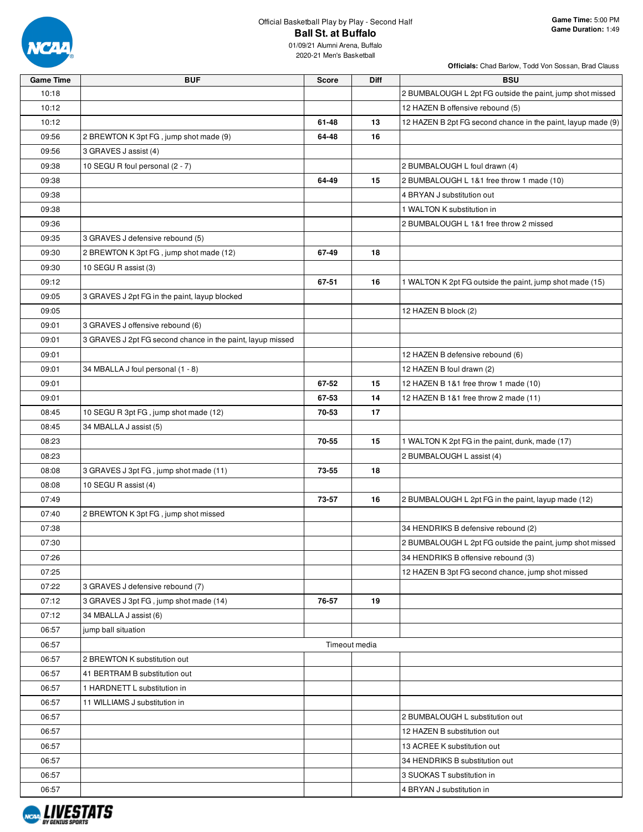

| <b>Game Time</b> | <b>BUF</b>                                                 | <b>Score</b> | Diff          | <b>BSU</b>                                                   |
|------------------|------------------------------------------------------------|--------------|---------------|--------------------------------------------------------------|
| 10:18            |                                                            |              |               | 2 BUMBALOUGH L 2pt FG outside the paint, jump shot missed    |
| 10:12            |                                                            |              |               | 12 HAZEN B offensive rebound (5)                             |
| 10:12            |                                                            | 61-48        | 13            | 12 HAZEN B 2pt FG second chance in the paint, layup made (9) |
| 09:56            | 2 BREWTON K 3pt FG, jump shot made (9)                     | 64-48        | 16            |                                                              |
| 09:56            | 3 GRAVES J assist (4)                                      |              |               |                                                              |
| 09:38            | 10 SEGU R foul personal (2 - 7)                            |              |               | 2 BUMBALOUGH L foul drawn (4)                                |
| 09:38            |                                                            | 64-49        | 15            | 2 BUMBALOUGH L 1&1 free throw 1 made (10)                    |
| 09:38            |                                                            |              |               | 4 BRYAN J substitution out                                   |
| 09:38            |                                                            |              |               | 1 WALTON K substitution in                                   |
| 09:36            |                                                            |              |               | 2 BUMBALOUGH L 1&1 free throw 2 missed                       |
| 09:35            | 3 GRAVES J defensive rebound (5)                           |              |               |                                                              |
| 09:30            | 2 BREWTON K 3pt FG, jump shot made (12)                    | 67-49        | 18            |                                                              |
| 09:30            | 10 SEGU R assist (3)                                       |              |               |                                                              |
| 09:12            |                                                            | 67-51        | 16            | 1 WALTON K 2pt FG outside the paint, jump shot made (15)     |
| 09:05            | 3 GRAVES J 2pt FG in the paint, layup blocked              |              |               |                                                              |
| 09:05            |                                                            |              |               | 12 HAZEN B block (2)                                         |
| 09:01            | 3 GRAVES J offensive rebound (6)                           |              |               |                                                              |
| 09:01            | 3 GRAVES J 2pt FG second chance in the paint, layup missed |              |               |                                                              |
| 09:01            |                                                            |              |               | 12 HAZEN B defensive rebound (6)                             |
| 09:01            | 34 MBALLA J foul personal (1 - 8)                          |              |               | 12 HAZEN B foul drawn (2)                                    |
| 09:01            |                                                            | 67-52        | 15            | 12 HAZEN B 1&1 free throw 1 made (10)                        |
| 09:01            |                                                            | 67-53        | 14            | 12 HAZEN B 1&1 free throw 2 made (11)                        |
| 08:45            | 10 SEGU R 3pt FG, jump shot made (12)                      | 70-53        | 17            |                                                              |
| 08:45            | 34 MBALLA J assist (5)                                     |              |               |                                                              |
| 08:23            |                                                            | 70-55        | 15            |                                                              |
|                  |                                                            |              |               | 1 WALTON K 2pt FG in the paint, dunk, made (17)              |
| 08:23            |                                                            |              | 18            | 2 BUMBALOUGH L assist (4)                                    |
| 08:08            | 3 GRAVES J 3pt FG, jump shot made (11)                     | 73-55        |               |                                                              |
| 08:08            | 10 SEGU R assist (4)                                       |              |               |                                                              |
| 07:49            |                                                            | 73-57        | 16            | 2 BUMBALOUGH L 2pt FG in the paint, layup made (12)          |
| 07:40            | 2 BREWTON K 3pt FG, jump shot missed                       |              |               |                                                              |
| 07:38            |                                                            |              |               | 34 HENDRIKS B defensive rebound (2)                          |
| 07:30            |                                                            |              |               | 2 BUMBALOUGH L 2pt FG outside the paint, jump shot missed    |
| 07:26            |                                                            |              |               | 34 HENDRIKS B offensive rebound (3)                          |
| 07:25            |                                                            |              |               | 12 HAZEN B 3pt FG second chance, jump shot missed            |
| 07:22            | 3 GRAVES J defensive rebound (7)                           |              |               |                                                              |
| 07:12            | 3 GRAVES J 3pt FG, jump shot made (14)                     | 76-57        | 19            |                                                              |
| 07:12            | 34 MBALLA J assist (6)                                     |              |               |                                                              |
| 06:57            | jump ball situation                                        |              |               |                                                              |
| 06:57            |                                                            |              | Timeout media |                                                              |
| 06:57            | 2 BREWTON K substitution out                               |              |               |                                                              |
| 06:57            | 41 BERTRAM B substitution out                              |              |               |                                                              |
| 06:57            | 1 HARDNETT L substitution in                               |              |               |                                                              |
| 06:57            | 11 WILLIAMS J substitution in                              |              |               |                                                              |
| 06:57            |                                                            |              |               | 2 BUMBALOUGH L substitution out                              |
| 06:57            |                                                            |              |               | 12 HAZEN B substitution out                                  |
| 06:57            |                                                            |              |               | 13 ACREE K substitution out                                  |
| 06:57            |                                                            |              |               | 34 HENDRIKS B substitution out                               |
| 06:57            |                                                            |              |               | 3 SUOKAS T substitution in                                   |
| 06:57            |                                                            |              |               | 4 BRYAN J substitution in                                    |

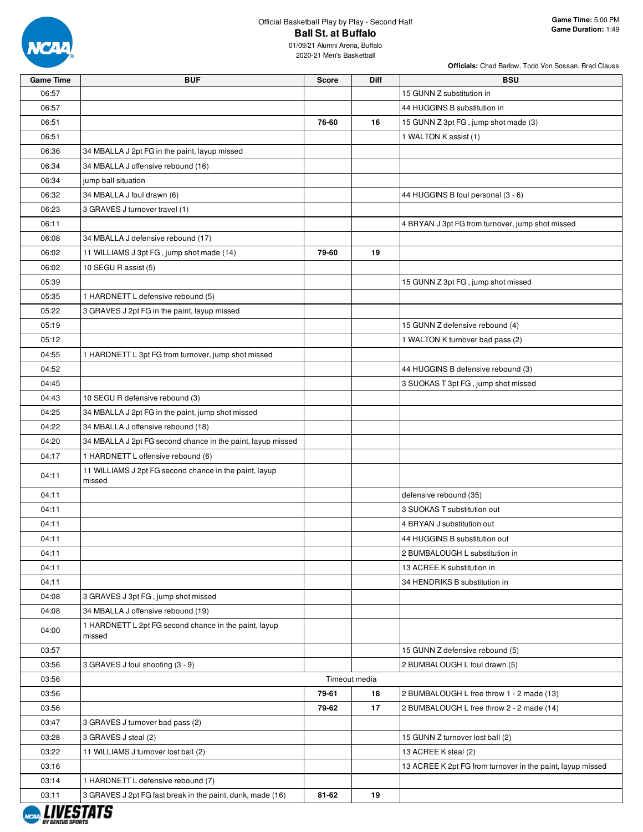

| <b>Game Time</b> | <b>BUF</b>                                                       | Score         | <b>Diff</b> | <b>BSU</b>                                                 |
|------------------|------------------------------------------------------------------|---------------|-------------|------------------------------------------------------------|
| 06:57            |                                                                  |               |             | 15 GUNN Z substitution in                                  |
| 06:57            |                                                                  |               |             | 44 HUGGINS B substitution in                               |
| 06:51            |                                                                  | 76-60         | 16          | 15 GUNN Z 3pt FG, jump shot made (3)                       |
| 06:51            |                                                                  |               |             | 1 WALTON K assist (1)                                      |
| 06:36            | 34 MBALLA J 2pt FG in the paint, layup missed                    |               |             |                                                            |
| 06:34            | 34 MBALLA J offensive rebound (16)                               |               |             |                                                            |
| 06:34            | jump ball situation                                              |               |             |                                                            |
| 06:32            | 34 MBALLA J foul drawn (6)                                       |               |             | 44 HUGGINS B foul personal (3 - 6)                         |
| 06:23            | 3 GRAVES J turnover travel (1)                                   |               |             |                                                            |
| 06:11            |                                                                  |               |             | 4 BRYAN J 3pt FG from turnover, jump shot missed           |
| 06:08            | 34 MBALLA J defensive rebound (17)                               |               |             |                                                            |
| 06:02            | 11 WILLIAMS J 3pt FG, jump shot made (14)                        | 79-60         | 19          |                                                            |
| 06:02            | 10 SEGU R assist (5)                                             |               |             |                                                            |
| 05:39            |                                                                  |               |             | 15 GUNN Z 3pt FG, jump shot missed                         |
| 05:35            | 1 HARDNETT L defensive rebound (5)                               |               |             |                                                            |
| 05:22            | 3 GRAVES J 2pt FG in the paint, layup missed                     |               |             |                                                            |
| 05:19            |                                                                  |               |             | 15 GUNN Z defensive rebound (4)                            |
| 05:12            |                                                                  |               |             | 1 WALTON K turnover bad pass (2)                           |
| 04:55            | 1 HARDNETT L 3pt FG from turnover, jump shot missed              |               |             |                                                            |
| 04:52            |                                                                  |               |             | 44 HUGGINS B defensive rebound (3)                         |
| 04:45            |                                                                  |               |             | 3 SUOKAS T 3pt FG, jump shot missed                        |
| 04:43            | 10 SEGU R defensive rebound (3)                                  |               |             |                                                            |
| 04:25            | 34 MBALLA J 2pt FG in the paint, jump shot missed                |               |             |                                                            |
| 04:22            | 34 MBALLA J offensive rebound (18)                               |               |             |                                                            |
| 04:20            | 34 MBALLA J 2pt FG second chance in the paint, layup missed      |               |             |                                                            |
| 04:17            | 1 HARDNETT L offensive rebound (6)                               |               |             |                                                            |
| 04:11            | 11 WILLIAMS J 2pt FG second chance in the paint, layup<br>missed |               |             |                                                            |
| 04:11            |                                                                  |               |             | defensive rebound (35)                                     |
| 04:11            |                                                                  |               |             | 3 SUOKAS T substitution out                                |
| 04:11            |                                                                  |               |             | 4 BRYAN J substitution out                                 |
| 04:11            |                                                                  |               |             | 44 HUGGINS B substitution out                              |
| 04:11            |                                                                  |               |             | 2 BUMBALOUGH L substitution in                             |
| 04:11            |                                                                  |               |             | 13 ACREE K substitution in                                 |
| 04:11            |                                                                  |               |             | 34 HENDRIKS B substitution in                              |
| 04:08            | 3 GRAVES J 3pt FG, jump shot missed                              |               |             |                                                            |
| 04:08            | 34 MBALLA J offensive rebound (19)                               |               |             |                                                            |
| 04:00            | 1 HARDNETT L 2pt FG second chance in the paint, layup<br>missed  |               |             |                                                            |
| 03:57            |                                                                  |               |             | 15 GUNN Z defensive rebound (5)                            |
| 03:56            | 3 GRAVES J foul shooting (3 - 9)                                 |               |             | 2 BUMBALOUGH L foul drawn (5)                              |
| 03:56            |                                                                  | Timeout media |             |                                                            |
| 03:56            |                                                                  | 79-61         | 18          | 2 BUMBALOUGH L free throw 1 - 2 made (13)                  |
| 03:56            |                                                                  | 79-62         | 17          | 2 BUMBALOUGH L free throw 2 - 2 made (14)                  |
| 03:47            | 3 GRAVES J turnover bad pass (2)                                 |               |             |                                                            |
| 03:28            | 3 GRAVES J steal (2)                                             |               |             | 15 GUNN Z turnover lost ball (2)                           |
| 03:22            | 11 WILLIAMS J turnover lost ball (2)                             |               |             | 13 ACREE K steal (2)                                       |
| 03:16            |                                                                  |               |             | 13 ACREE K 2pt FG from turnover in the paint, layup missed |
| 03:14            | 1 HARDNETT L defensive rebound (7)                               |               |             |                                                            |
| 03:11            | 3 GRAVES J 2pt FG fast break in the paint, dunk, made (16)       | 81-62         | 19          |                                                            |

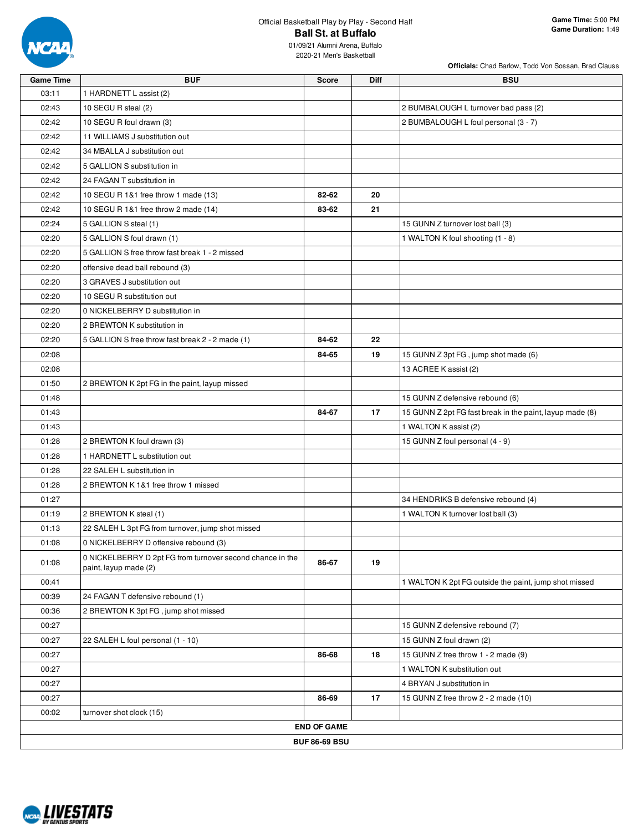

| <b>Game Time</b> | <b>BUF</b>                                                                         | <b>Score</b>         | <b>Diff</b> | <b>BSU</b>                                               |
|------------------|------------------------------------------------------------------------------------|----------------------|-------------|----------------------------------------------------------|
| 03:11            | 1 HARDNETT L assist (2)                                                            |                      |             |                                                          |
| 02:43            | 10 SEGU R steal (2)                                                                |                      |             | 2 BUMBALOUGH L turnover bad pass (2)                     |
| 02:42            | 10 SEGU R foul drawn (3)                                                           |                      |             | 2 BUMBALOUGH L foul personal (3 - 7)                     |
| 02:42            | 11 WILLIAMS J substitution out                                                     |                      |             |                                                          |
| 02:42            | 34 MBALLA J substitution out                                                       |                      |             |                                                          |
| 02:42            | 5 GALLION S substitution in                                                        |                      |             |                                                          |
| 02:42            | 24 FAGAN T substitution in                                                         |                      |             |                                                          |
| 02:42            | 10 SEGU R 1&1 free throw 1 made (13)                                               | 82-62                | 20          |                                                          |
| 02:42            | 10 SEGU R 1&1 free throw 2 made (14)                                               | 83-62                | 21          |                                                          |
| 02:24            | 5 GALLION S steal (1)                                                              |                      |             | 15 GUNN Z turnover lost ball (3)                         |
| 02:20            | 5 GALLION S foul drawn (1)                                                         |                      |             | 1 WALTON K foul shooting (1 - 8)                         |
| 02:20            | 5 GALLION S free throw fast break 1 - 2 missed                                     |                      |             |                                                          |
| 02:20            | offensive dead ball rebound (3)                                                    |                      |             |                                                          |
| 02:20            | 3 GRAVES J substitution out                                                        |                      |             |                                                          |
| 02:20            | 10 SEGU R substitution out                                                         |                      |             |                                                          |
| 02:20            | 0 NICKELBERRY D substitution in                                                    |                      |             |                                                          |
| 02:20            | 2 BREWTON K substitution in                                                        |                      |             |                                                          |
| 02:20            | 5 GALLION S free throw fast break 2 - 2 made (1)                                   | 84-62                | 22          |                                                          |
| 02:08            |                                                                                    | 84-65                | 19          | 15 GUNN Z 3pt FG, jump shot made (6)                     |
| 02:08            |                                                                                    |                      |             | 13 ACREE K assist (2)                                    |
| 01:50            | 2 BREWTON K 2pt FG in the paint, layup missed                                      |                      |             |                                                          |
| 01:48            |                                                                                    |                      |             | 15 GUNN Z defensive rebound (6)                          |
| 01:43            |                                                                                    | 84-67                | 17          | 15 GUNN Z 2pt FG fast break in the paint, layup made (8) |
| 01:43            |                                                                                    |                      |             | 1 WALTON K assist (2)                                    |
| 01:28            | 2 BREWTON K foul drawn (3)                                                         |                      |             | 15 GUNN Z foul personal (4 - 9)                          |
| 01:28            | 1 HARDNETT L substitution out                                                      |                      |             |                                                          |
| 01:28            | 22 SALEH L substitution in                                                         |                      |             |                                                          |
| 01:28            | 2 BREWTON K 1&1 free throw 1 missed                                                |                      |             |                                                          |
| 01:27            |                                                                                    |                      |             | 34 HENDRIKS B defensive rebound (4)                      |
| 01:19            | 2 BREWTON K steal (1)                                                              |                      |             | 1 WALTON K turnover lost ball (3)                        |
| 01:13            | 22 SALEH L 3pt FG from turnover, jump shot missed                                  |                      |             |                                                          |
| 01:08            | 0 NICKELBERRY D offensive rebound (3)                                              |                      |             |                                                          |
| 01:08            | 0 NICKELBERRY D 2pt FG from turnover second chance in the<br>paint, layup made (2) | 86-67                | 19          |                                                          |
| 00:41            |                                                                                    |                      |             | 1 WALTON K 2pt FG outside the paint, jump shot missed    |
| 00:39            | 24 FAGAN T defensive rebound (1)                                                   |                      |             |                                                          |
| 00:36            | 2 BREWTON K 3pt FG, jump shot missed                                               |                      |             |                                                          |
| 00:27            |                                                                                    |                      |             | 15 GUNN Z defensive rebound (7)                          |
| 00:27            | 22 SALEH L foul personal (1 - 10)                                                  |                      |             | 15 GUNN Z foul drawn (2)                                 |
| 00:27            |                                                                                    | 86-68                | 18          | 15 GUNN Z free throw 1 - 2 made (9)                      |
| 00:27            |                                                                                    |                      |             | 1 WALTON K substitution out                              |
| 00:27            |                                                                                    |                      |             | 4 BRYAN J substitution in                                |
| 00:27            |                                                                                    | 86-69                | 17          | 15 GUNN Z free throw 2 - 2 made (10)                     |
| 00:02            | turnover shot clock (15)                                                           |                      |             |                                                          |
|                  |                                                                                    | <b>END OF GAME</b>   |             |                                                          |
|                  |                                                                                    | <b>BUF 86-69 BSU</b> |             |                                                          |

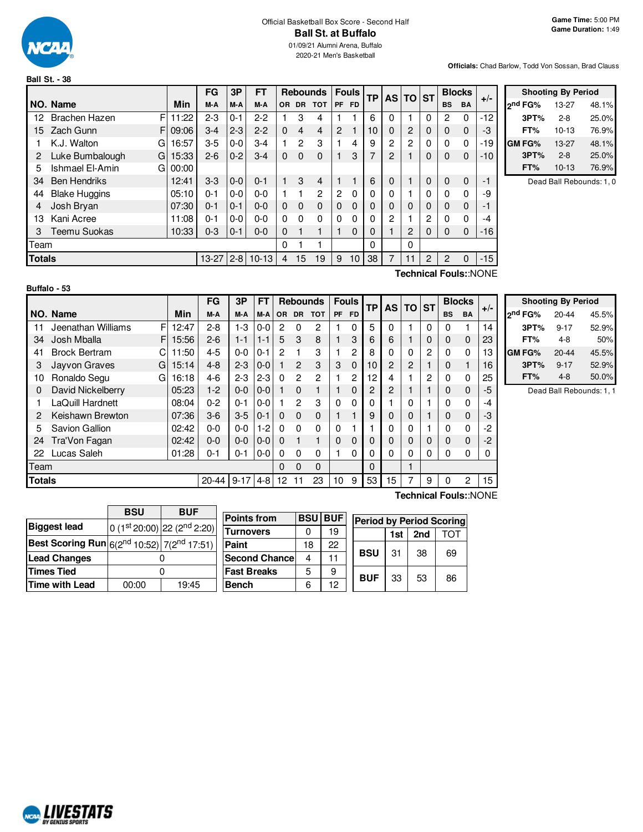

## Official Basketball Box Score - Second Half **Ball St. at Buffalo**

01/09/21 Alumni Arena, Buffalo 2020-21 Men's Basketball

#### **Officials:** Chad Barlow, Todd Von Sossan, Brad Clauss

|      |                                                |       | FG      | 3P      | FT      |              |                | <b>Rebounds</b> |                | <b>Fouls</b>    | <b>TP</b> |          | AS TO ST |              |                | <b>Blocks</b> | $+/-$                 |
|------|------------------------------------------------|-------|---------|---------|---------|--------------|----------------|-----------------|----------------|-----------------|-----------|----------|----------|--------------|----------------|---------------|-----------------------|
|      | NO. Name                                       | Min   | M-A     | M-A     | M-A     | OR.          | <b>DR</b>      | <b>TOT</b>      |                | PF FD           |           |          |          |              | <b>BS</b>      | <b>BA</b>     |                       |
| 12   | F<br><b>Brachen Hazen</b>                      | 11:22 | $2 - 3$ | $0 - 1$ | $2 - 2$ |              | 3              | 4               |                |                 | 6         | 0        |          | 0            | 2              | $\Omega$      | $-12$                 |
| 15   | Zach Gunn<br>FI                                | 09:06 | $3-4$   | $2 - 3$ | $2 - 2$ | $\Omega$     | $\overline{4}$ | $\overline{4}$  | $\overline{2}$ |                 | 10        | 0        | 2        | 0            | 0              | $\mathbf 0$   | -3                    |
|      | K.J. Walton<br>G                               | 16:57 | $3-5$   | $0-0$   | $3 - 4$ | 1            | 2              | 3               |                | 4               | 9         | 2        | 2        | $\mathbf{0}$ | 0              | 0             | -19                   |
| 2    | Luke Bumbalough<br>GI                          | 15:33 | $2 - 6$ | $0 - 2$ | $3-4$   | $\Omega$     | $\Omega$       | $\mathbf{0}$    |                | 3               | 7         | 2        |          | 0            | $\Omega$       | $\mathbf 0$   | $-10$                 |
| 5    | Ishmael El-Amin<br>G.                          | 00:00 |         |         |         |              |                |                 |                |                 |           |          |          |              |                |               |                       |
| 34   | <b>Ben Hendriks</b>                            | 12:41 | $3-3$   | $0 - 0$ | $0 - 1$ | 1.           | 3              | $\overline{4}$  |                |                 | 6         | $\Omega$ |          | $\mathbf 0$  | 0              | $\mathbf 0$   | $-1$                  |
| 44   | <b>Blake Huggins</b>                           | 05:10 | $0 - 1$ | $0 - 0$ | $0 - 0$ | 1            |                | $\overline{c}$  | $\overline{c}$ | 0               | 0         | 0        |          | $\mathbf{0}$ | 0              | 0             | -9                    |
| 4    | Josh Bryan                                     | 07:30 | $0 - 1$ | $0 - 1$ | $0 - 0$ | $\mathbf{0}$ | $\Omega$       | $\mathbf{0}$    | $\Omega$       | 0               | 0         | 0        | 0        | $\Omega$     | $\Omega$       | $\mathbf 0$   | $-1$                  |
| 13   | Kani Acree                                     | 11:08 | $0 - 1$ | $0 - 0$ | $0 - 0$ | 0            | $\Omega$       | $\Omega$        | $\Omega$       | 0               | $\Omega$  | 2        |          | 2            | 0              | 0             | -4                    |
| 3    | Teemu Suokas                                   | 10:33 | $0 - 3$ | $0 - 1$ | $0 - 0$ | $\Omega$     | 1              | $\mathbf{1}$    |                | 0               | 0         |          | 2        | $\Omega$     | $\Omega$       | $\mathbf 0$   | $-16$                 |
| Team |                                                |       |         |         |         |              |                |                 |                |                 | $\Omega$  |          | 0        |              |                |               |                       |
|      | <b>Totals</b><br>$2-8$<br>$13-27$<br>$10 - 13$ |       |         |         |         |              |                | 19              | 9              | 10 <sub>1</sub> | 38        |          | 11       | 2            | $\overline{c}$ | 0             | $-15$                 |
|      |                                                |       |         |         |         |              |                |                 |                |                 |           |          |          |              |                |               | Toohnical Foule: NONE |

|         | <b>Shooting By Period</b> |       |
|---------|---------------------------|-------|
| ond FG% | 13-27                     | 48.1% |
| 3PT%    | $2 - 8$                   | 25.0% |
| FT%     | $10 - 13$                 | 76.9% |
| GM FG%  | 13-27                     | 48.1% |
| 3PT%    | $2 - 8$                   | 25.0% |
| FT%     | $10 - 13$                 | 76.9% |

Dead Ball Rebounds: 1, 0

#### **Buffalo - 53**

**Technical Fouls:**:NONE

|               |                           |           | FG       | 3P      | <b>FT</b> |           |                | <b>Rebounds</b> | <b>Fouls</b> |           | ТP | AS | <b>TO</b>   | <b>ST</b> |                | <b>Blocks</b> | $+/-$ |
|---------------|---------------------------|-----------|----------|---------|-----------|-----------|----------------|-----------------|--------------|-----------|----|----|-------------|-----------|----------------|---------------|-------|
|               | NO. Name                  | Min       | M-A      | M-A     | M-A       | <b>OR</b> | <b>DR</b>      | <b>TOT</b>      | <b>PF</b>    | <b>FD</b> |    |    |             |           | <b>BS</b>      | <b>BA</b>     |       |
| 11            | F<br>Jeenathan Williams   | 12:47     | $2 - 8$  | $1-3$   | 0-0       | 2         | $\Omega$       | 2               |              | $\Omega$  | 5  | 0  |             | 0         | 0              |               | 14    |
| 34            | Josh Mballa<br>F          | 15:56     | $2 - 6$  | $1 - 1$ | $1 - 1$   | 5         | 3              | 8               |              | 3         | 6  | 6  |             | 0         | 0              | 0             | 23    |
| 41            | <b>Brock Bertram</b><br>С | 11:50     | $4 - 5$  | $0-0$   | 0-1       | 2         |                | 3               |              | 2         | 8  | 0  | 0           | 2         | 0              | 0             | 13    |
| 3             | Jayvon Graves<br>G        | 15:14     | $4 - 8$  | $2-3$   | $0 - 0$   | 1         | 2              | 3               | 3            | $\Omega$  | 10 | 2  | 2           |           | 0              |               | 16    |
| 10            | Ronaldo Segu<br>G         | 16:18     | $4-6$    | $2 - 3$ | $2 - 3$   | $\Omega$  | $\overline{2}$ | 2               |              | 2         | 12 | 4  |             | 2         | 0              | 0             | 25    |
| 0             | David Nickelberry         | 05:23     | $1-2$    | $0 - 0$ | $0 - 0$   | 1         | $\Omega$       |                 |              | $\Omega$  | 2  | 2  |             |           | 0              | 0             | -5    |
|               | LaQuill Hardnett          | 08:04     | $0 - 2$  | $0 - 1$ | $0 - 0$   |           | 2              | 3               | 0            | $\Omega$  | 0  |    | 0           |           | 0              | 0             | -4    |
| 2             | Keishawn Brewton          | 07:36     | $3-6$    | $3 - 5$ | $0 - 1$   | $\Omega$  | $\Omega$       | $\Omega$        |              |           | 9  | 0  | 0           |           | 0              | $\Omega$      | -3    |
| 5             | Savion Gallion            | 02:42     | $0 - 0$  | $0-0$   | $1-2$     | 0         | $\Omega$       | 0               | 0            |           |    | 0  | 0           |           | 0              | 0             | $-2$  |
| 24            | Tra'Von Fagan             | 02:42     | $0 - 0$  | $0 - 0$ | $0 - 0$   | $\Omega$  |                |                 | $\Omega$     | $\Omega$  | 0  | 0  | $\mathbf 0$ | 0         | $\mathbf{0}$   | 0             | $-2$  |
| 22            | Lucas Saleh               | 01:28     | $0 - 1$  | $0 - 1$ | $0-0$     | 0         | $\Omega$       | 0               |              | $\Omega$  | 0  | 0  | 0           | 0         | 0              | 0             | 0     |
| Team          |                           |           |          |         | 0         | 0         | $\Omega$       |                 |              | 0         |    | 1  |             |           |                |               |       |
| <b>Totals</b> |                           | $20 - 44$ | $9 - 17$ | $4 - 8$ | 12        | 11        | 23             | 10              | 9            | 53        | 15 | 7  | 9           | 0         | $\overline{c}$ | 15            |       |

|                     | <b>Shooting By Period</b> |       |
|---------------------|---------------------------|-------|
| 2 <sup>nd</sup> FG% | $20 - 44$                 | 45.5% |
| 3PT%                | $9 - 17$                  | 52.9% |
| FT%                 | 4-8                       | 50%   |
| GM FG%              | $20 - 44$                 | 45.5% |
| 3PT%                | $9 - 17$                  | 52.9% |
| FT%                 | $4 - 8$                   | 50.0% |

Dead Ball Rebounds: 1, 1

|                                                                    | <b>BSU</b> | <b>BUF</b>                              |  |  |  |  |
|--------------------------------------------------------------------|------------|-----------------------------------------|--|--|--|--|
| <b>Biggest lead</b>                                                |            | 0 (1st 20:00) 22 (2 <sup>nd</sup> 2:20) |  |  |  |  |
| <b>Best Scoring Run</b> $6(2^{nd} 10:52)$ 7(2 <sup>nd</sup> 17:51) |            |                                         |  |  |  |  |
| <b>Lead Changes</b>                                                |            |                                         |  |  |  |  |
| <b>Times Tied</b>                                                  |            |                                         |  |  |  |  |
| Time with Lead                                                     | 00:00      | 19:45                                   |  |  |  |  |

**NCAL LIVESTATS** 

| <b>Points from</b>    | <b>BSU</b> | <b>BUF</b> | <b>Period by Period Scoring</b> |            |    |    |  |  |  |  |  |  |
|-----------------------|------------|------------|---------------------------------|------------|----|----|--|--|--|--|--|--|
| <b>Turnovers</b>      |            | 19         |                                 | 2nd<br>1st |    |    |  |  |  |  |  |  |
| Paint                 | 18         | 22         |                                 |            |    |    |  |  |  |  |  |  |
| <b>Second Chancel</b> | 4          | 11         | <b>BSU</b>                      | 31         | 38 | 69 |  |  |  |  |  |  |
| <b>Fast Breaks</b>    | 5          | 9          |                                 |            |    |    |  |  |  |  |  |  |
| <b>Bench</b>          | հ          | 12         | <b>BUF</b>                      | 33         | 53 | 86 |  |  |  |  |  |  |

**Technical Fouls:**:NONE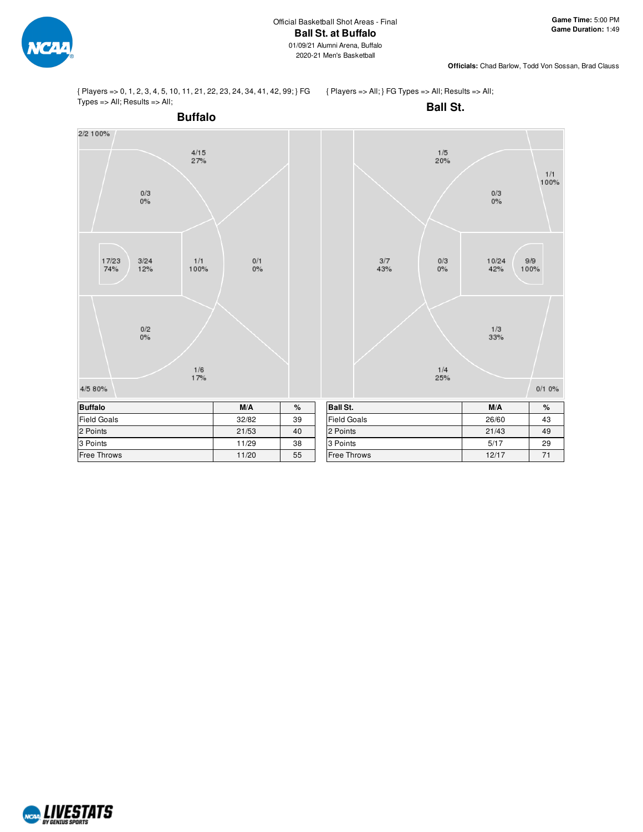

{ Players => 0, 1, 2, 3, 4, 5, 10, 11, 21, 22, 23, 24, 34, 41, 42, 99; } FG Types => All; Results => All;

{ Players => All; } FG Types => All; Results => All;



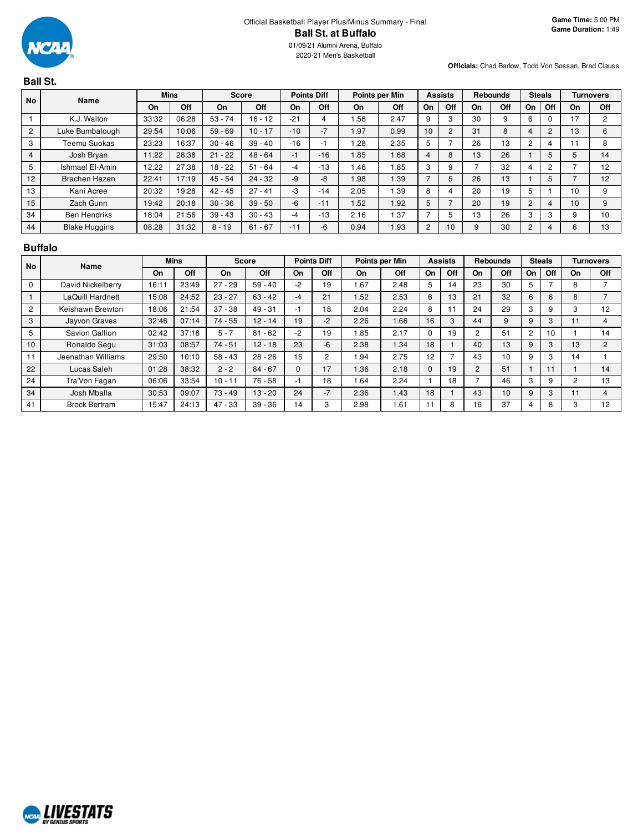

# **Ball St.**

| <b>No</b>      | Name                 |       | <b>Mins</b> |           | <b>Score</b> |       | <b>Points Diff</b> |      | Points per Min |                | <b>Assists</b> |    | <b>Rebounds</b> |                | <b>Steals</b> |    | <b>Turnovers</b> |
|----------------|----------------------|-------|-------------|-----------|--------------|-------|--------------------|------|----------------|----------------|----------------|----|-----------------|----------------|---------------|----|------------------|
|                |                      | On    | Off         | On        | Off          | On    | Off                | On   | Off            | On             | Off            | On | Off             | On             | Off           | On | Off              |
|                | K.J. Walton          | 33:32 | 06:28       | $53 - 74$ | $16 - 12$    | $-21$ | 4                  | .58  | 2.47           | 9              | 3              | 30 | 9               | 6              |               | 17 | 2                |
| $\mathbf{2}$   | Luke Bumbalough      | 29:54 | 10:06       | $59 - 69$ | $10 - 17$    | $-10$ | $-7$               | .97  | 0.99           | 10             | $\overline{2}$ | 31 | 8               | 4              |               | 13 | 6                |
| 3              | <b>Teemu Suokas</b>  | 23:23 | 6:37        | $30 - 46$ | $39 - 40$    | $-16$ | -1                 | .28  | 2.35           | 5              |                | 26 | 13              | $\overline{c}$ |               |    | 8                |
| $\overline{4}$ | Josh Bryan           | 11:22 | 28:38       | $21 - 22$ | $48 - 64$    | $-1$  | $-16$              | .85  | 1.68           | $\overline{4}$ | 8              | 13 | 26              |                |               |    | 14               |
| 5              | Ishmael El-Amin      | 12:22 | 27:38       | $18 - 22$ | $51 - 64$    | $-4$  | $-13$              | .46  | .85            | 3              | 9              |    | 32              |                | 2             |    | 12               |
| 12             | Brachen Hazen        | 22:41 | 17:19       | $45 - 54$ | $24 - 32$    | $-9$  | -8                 | 98.1 | 1.39           |                | 5              | 26 | 13              |                |               |    | 12               |
| 13             | Kani Acree           | 20:32 | 9:28        | $42 - 45$ | $27 - 41$    | -3    | $-14$              | 2.05 | 1.39           | 8              |                | 20 | 19              | 5              |               | 10 | 9                |
| 15             | Zach Gunn            | 19:42 | 20:18       | $30 - 36$ | $39 - 50$    | $-6$  | $-11$              | .52  | 1.92           | 5              |                | 20 | 19              | $\overline{2}$ | 4             | 10 | 9                |
| 34             | <b>Ben Hendriks</b>  | 18:04 | 21:56       | $39 - 43$ | $30 - 43$    | $-4$  | $-13$              | 2.16 | 1.37           |                | 5              | 13 | 26              | 3              | c<br>-3       |    | 10               |
| 44             | <b>Blake Huggins</b> | 08:28 | 31:32       | $8 - 19$  | $61 - 67$    | $-11$ | -6                 | 0.94 | 1.93           | 2              | 10             | 9  | 30              | $\overline{2}$ | 4             |    | 13               |

#### **Buffalo**

| <b>No</b> | Name                 |       | <b>Mins</b> |           | <b>Score</b> |          | <b>Points Diff</b> |           | Points per Min |          | <b>Assists</b> |                | <b>Rebounds</b> |    | <b>Steals</b> |    | <b>Turnovers</b> |
|-----------|----------------------|-------|-------------|-----------|--------------|----------|--------------------|-----------|----------------|----------|----------------|----------------|-----------------|----|---------------|----|------------------|
|           |                      | On    | Off         | On        | Off          | On       | Off                | On        | Off            | On       | Off            | On             | Off             | On | Off           | On | <b>Off</b>       |
| $\Omega$  | David Nickelberry    | 16:11 | 23:49       | $27 - 29$ | $59 - 40$    | $-2$     | 19                 | <b>67</b> | 2.48           | 5        | 14             | 23             | 30              | 5  | ⇁             | 8  |                  |
|           | LaQuill Hardnett     | 15:08 | 24:52       | $23 - 27$ | $63 - 42$    | $-4$     | 21                 | 1.52      | 2.53           | 6        | 13             | 21             | 32              | 6  | 6             | 8  |                  |
| 2         | Keishawn Brewton     | 18:06 | 21:54       | $37 - 38$ | $49 - 31$    | -1       | 18                 | 2.04      | 2.24           | 8        |                | 24             | 29              | 3  | 9             | з  | 12               |
| 3         | Jayvon Graves        | 32:46 | 07:14       | $74 - 55$ | $12 - 14$    | 19       | $-2$               | 2.26      | 1.66           | 16       | 3              | 44             | 9               | 9  | 3             |    |                  |
| 5         | Savion Gallion       | 02:42 | 37:18       | $5 - 7$   | $81 - 62$    | $-2$     | 19                 | 1.85      | 2.17           | $\Omega$ | 19             |                | 51              | 2  | 10            |    | 14               |
| 10        | Ronaldo Segu         | 31:03 | 08:57       | $74 - 51$ | $12 - 18$    | 23       | $-6$               | 2.38      | .34            | 18       |                | 40             | 13              | 9  | 3             | 13 | $\overline{2}$   |
| 11        | Jeenathan Williams   | 29:50 | 10:10       | $58 - 43$ | $28 - 26$    | 15       | $\overline{2}$     | 1.94      | 2.75           | 12       |                | 43             | 10              | 9  | 3             | 14 |                  |
| 22        | Lucas Saleh          | 01:28 | 38:32       | $2 - 2$   | $84 - 67$    | $\Omega$ | 17                 | 1.36      | 2.18           | $\Omega$ | 19             | $\overline{2}$ | 51              |    | 11            |    | 14               |
| 24        | Tra'Von Fagan        | 06:06 | 33:54       | $10 - 11$ | $76 - 58$    | -1       | 18                 | 1.64      | 2.24           |          | 18             |                | 46              | 3  | 9             |    | 13               |
| 34        | Josh Mballa          | 30:53 | 09:07       | $73 - 49$ | $13 - 20$    | 24       | $-7$               | 2.36      | 1.43           | 18       |                | 43             | 10              | 9  | 3             |    | 4                |
| 41        | <b>Brock Bertram</b> | 15:47 | 24:13       | $47 - 33$ | $39 - 36$    | 14       | 3                  | 2.98      | .61            | 11       | 8              | 16             | 37              | 4  | 8             |    | 12               |

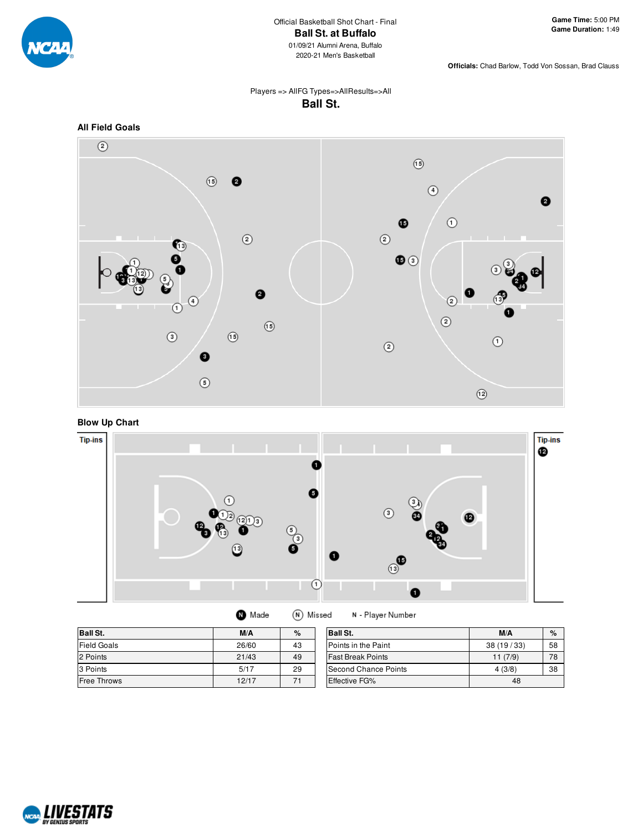

### Players => AllFG Types=>AllResults=>All **Ball St.**



**Blow Up Chart**



| <b>O</b> Made | (N) Missed |
|---------------|------------|
|               |            |

N - Player Number

| <b>Ball St.</b>    | M/A   | %  | <b>Ball St.</b>             | M/A       | $\%$ |
|--------------------|-------|----|-----------------------------|-----------|------|
| <b>Field Goals</b> | 26/60 | 43 | Points in the Paint         | 38(19/33) | 58   |
| 2 Points           | 21/43 | 49 | <b>Fast Break Points</b>    | 11(7/9)   | 78   |
| 3 Points           | 5/17  | 29 | <b>Second Chance Points</b> | 4(3/8)    | 38   |
| <b>Free Throws</b> | 12/17 | 71 | <b>Effective FG%</b>        | 48        |      |